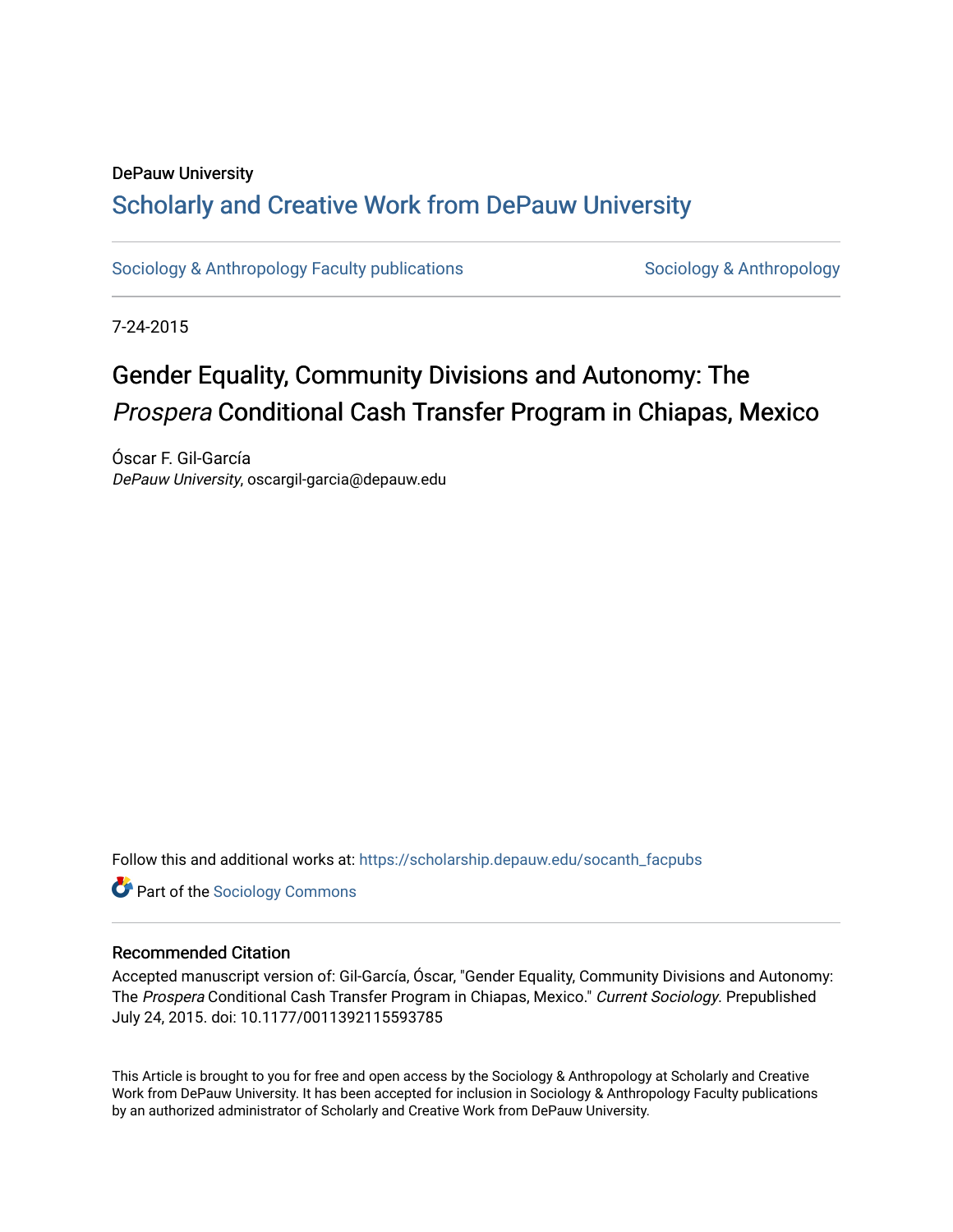## DePauw University Scholarly and [Creative Work from DePauw Univ](https://scholarship.depauw.edu/)ersity

[Sociology & Anthropology Faculty publications](https://scholarship.depauw.edu/socanth_facpubs) [Sociology & Anthropology](https://scholarship.depauw.edu/socanth) & Anthropology

7-24-2015

# Gender Equality, Community Divisions and Autonomy: The Prospera Conditional Cash Transfer Program in Chiapas, Mexico

Óscar F. Gil-García DePauw University, oscargil-garcia@depauw.edu

Follow this and additional works at: [https://scholarship.depauw.edu/socanth\\_facpubs](https://scholarship.depauw.edu/socanth_facpubs?utm_source=scholarship.depauw.edu%2Fsocanth_facpubs%2F1&utm_medium=PDF&utm_campaign=PDFCoverPages)

**Part of the [Sociology Commons](https://network.bepress.com/hgg/discipline/416?utm_source=scholarship.depauw.edu%2Fsocanth_facpubs%2F1&utm_medium=PDF&utm_campaign=PDFCoverPages)** 

#### Recommended Citation

Accepted manuscript version of: Gil-García, Óscar, "Gender Equality, Community Divisions and Autonomy: The Prospera Conditional Cash Transfer Program in Chiapas, Mexico." Current Sociology. Prepublished July 24, 2015. doi: 10.1177/0011392115593785

This Article is brought to you for free and open access by the Sociology & Anthropology at Scholarly and Creative Work from DePauw University. It has been accepted for inclusion in Sociology & Anthropology Faculty publications by an authorized administrator of Scholarly and Creative Work from DePauw University.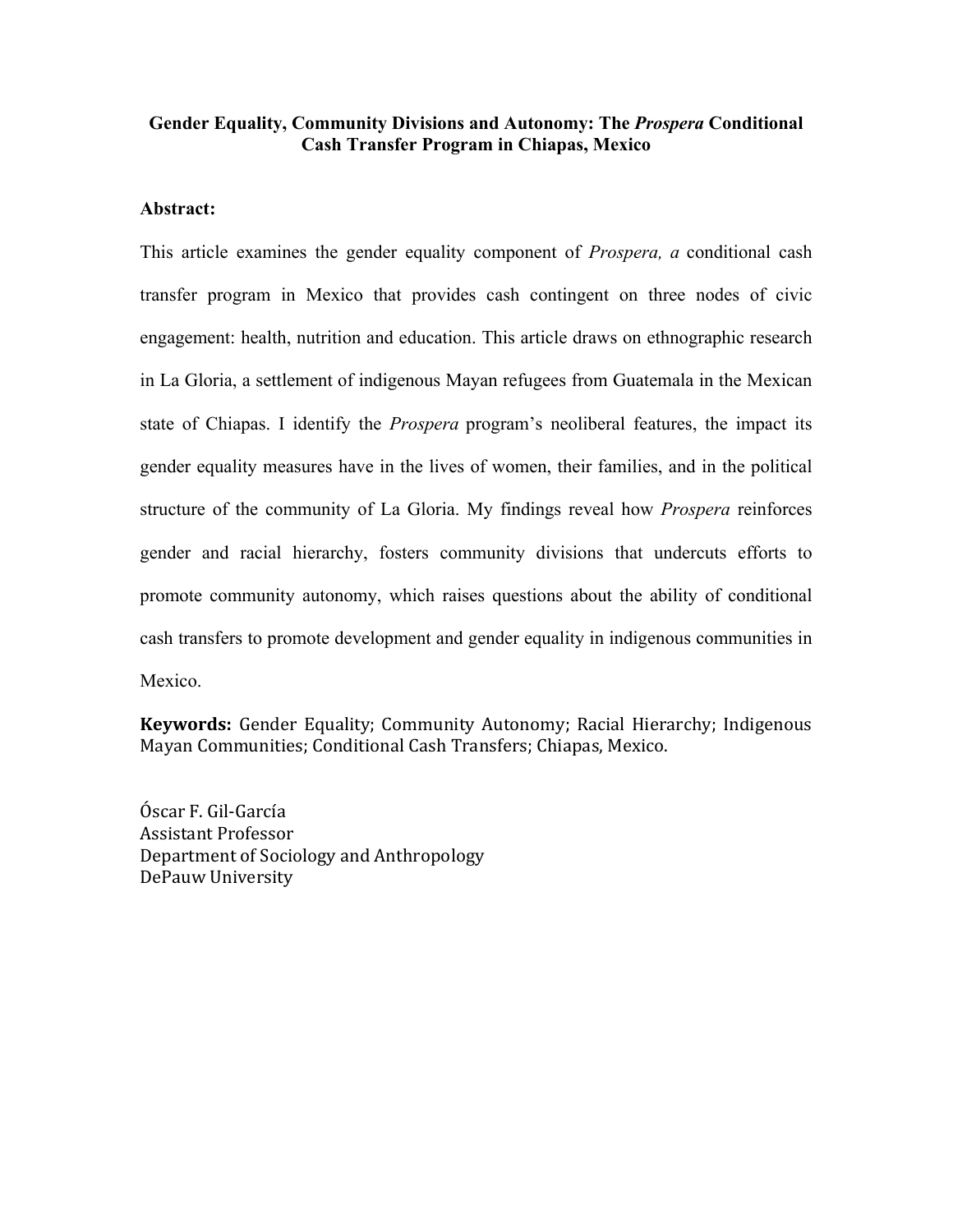#### **Gender Equality, Community Divisions and Autonomy: The** *Prospera* **Conditional Cash Transfer Program in Chiapas, Mexico**

#### **Abstract:**

This article examines the gender equality component of *Prospera, a* conditional cash transfer program in Mexico that provides cash contingent on three nodes of civic engagement: health, nutrition and education. This article draws on ethnographic research in La Gloria, a settlement of indigenous Mayan refugees from Guatemala in the Mexican state of Chiapas. I identify the *Prospera* program's neoliberal features, the impact its gender equality measures have in the lives of women, their families, and in the political structure of the community of La Gloria. My findings reveal how *Prospera* reinforces gender and racial hierarchy, fosters community divisions that undercuts efforts to promote community autonomy, which raises questions about the ability of conditional cash transfers to promote development and gender equality in indigenous communities in Mexico.

**Keywords:** Gender Equality; Community Autonomy; Racial Hierarchy; Indigenous Mayan Communities; Conditional Cash Transfers; Chiapas, Mexico.

Óscar F. Gil-García Assistant Professor Department of Sociology and Anthropology DePauw University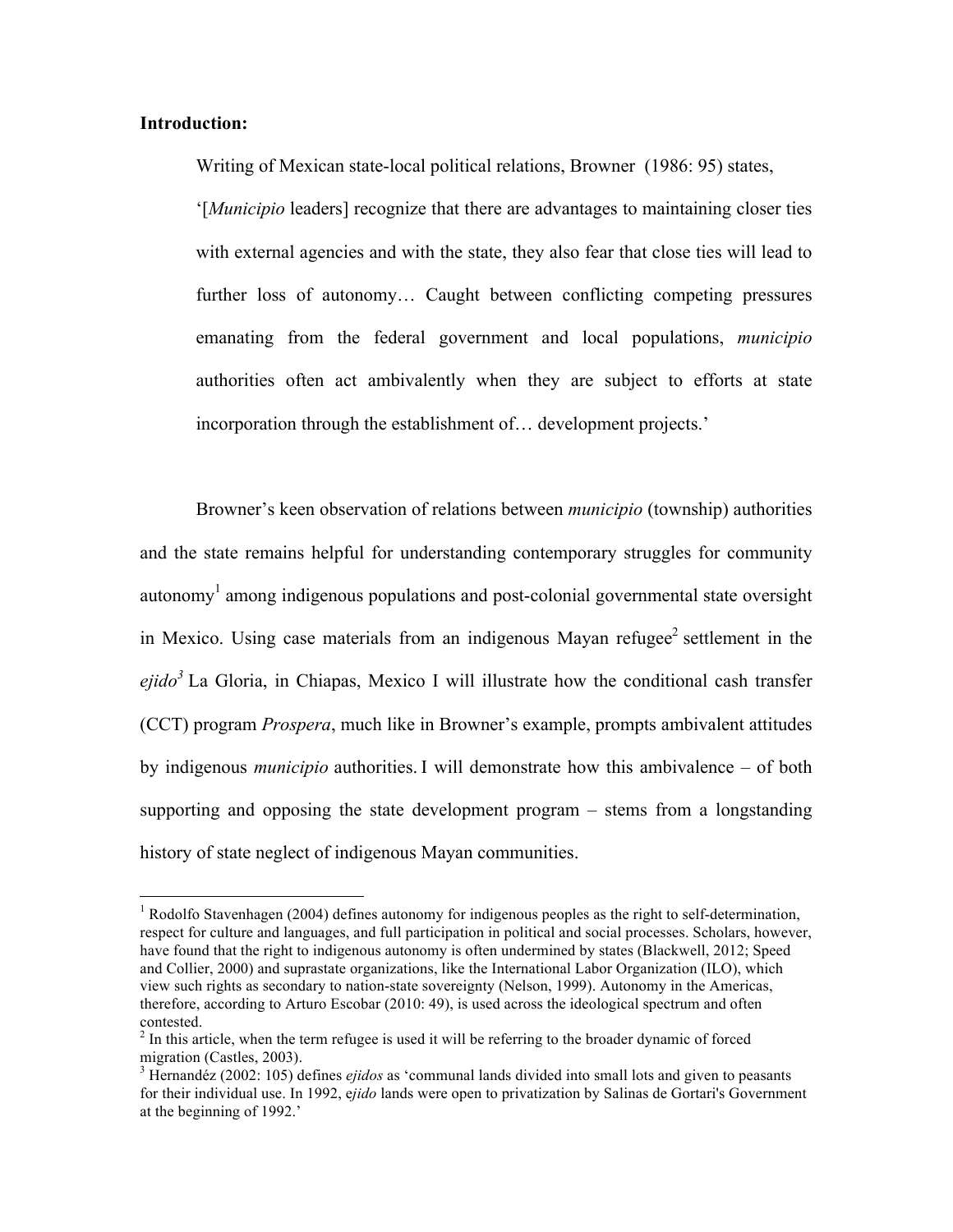#### **Introduction:**

Writing of Mexican state-local political relations, Browner (1986: 95) states, '[*Municipio* leaders] recognize that there are advantages to maintaining closer ties with external agencies and with the state, they also fear that close ties will lead to further loss of autonomy… Caught between conflicting competing pressures emanating from the federal government and local populations, *municipio*  authorities often act ambivalently when they are subject to efforts at state incorporation through the establishment of… development projects.'

Browner's keen observation of relations between *municipio* (township) authorities and the state remains helpful for understanding contemporary struggles for community  $\alpha$ utonomy<sup>1</sup> among indigenous populations and post-colonial governmental state oversight in Mexico. Using case materials from an indigenous Mayan refugee<sup>2</sup> settlement in the *ejido<sup>3</sup>* La Gloria, in Chiapas, Mexico I will illustrate how the conditional cash transfer (CCT) program *Prospera*, much like in Browner's example, prompts ambivalent attitudes by indigenous *municipio* authorities. I will demonstrate how this ambivalence – of both supporting and opposing the state development program – stems from a longstanding history of state neglect of indigenous Mayan communities.

<sup>&</sup>lt;sup>1</sup> Rodolfo Stavenhagen (2004) defines autonomy for indigenous peoples as the right to self-determination, respect for culture and languages, and full participation in political and social processes. Scholars, however, have found that the right to indigenous autonomy is often undermined by states (Blackwell, 2012; Speed and Collier, 2000) and suprastate organizations, like the International Labor Organization (ILO), which view such rights as secondary to nation-state sovereignty (Nelson, 1999). Autonomy in the Americas, therefore, according to Arturo Escobar (2010: 49), is used across the ideological spectrum and often contested.

<sup>&</sup>lt;sup>2</sup> In this article, when the term refugee is used it will be referring to the broader dynamic of forced migration (Castles, 2003).<br><sup>3</sup> Hernandéz (2002: 105) defines *ejidos* as 'communal lands divided into small lots and given to peasants

for their individual use. In 1992, e*jido* lands were open to privatization by Salinas de Gortari's Government at the beginning of 1992.'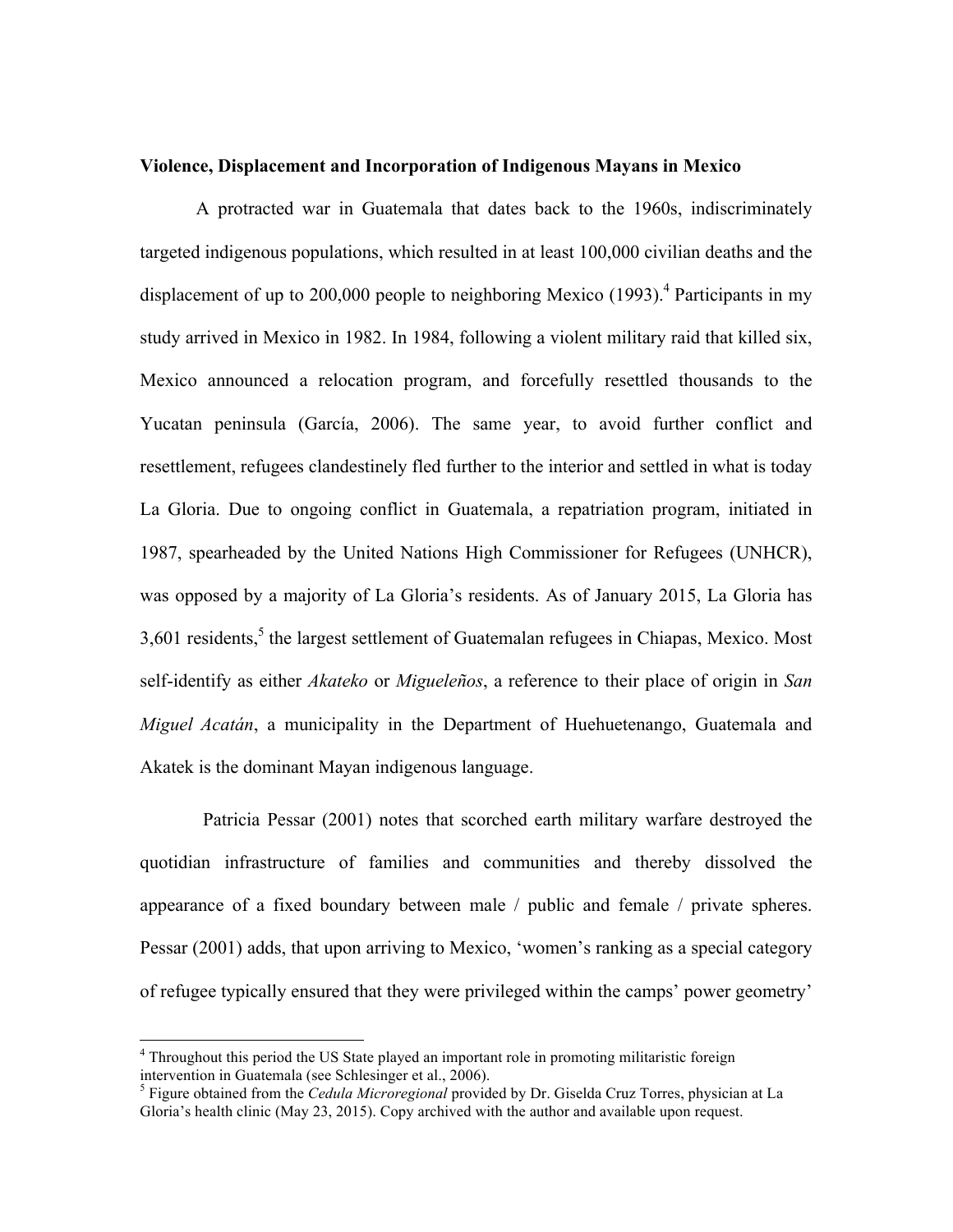#### **Violence, Displacement and Incorporation of Indigenous Mayans in Mexico**

A protracted war in Guatemala that dates back to the 1960s, indiscriminately targeted indigenous populations, which resulted in at least 100,000 civilian deaths and the displacement of up to 200,000 people to neighboring Mexico (1993). <sup>4</sup> Participants in my study arrived in Mexico in 1982. In 1984, following a violent military raid that killed six, Mexico announced a relocation program, and forcefully resettled thousands to the Yucatan peninsula (García, 2006). The same year, to avoid further conflict and resettlement, refugees clandestinely fled further to the interior and settled in what is today La Gloria. Due to ongoing conflict in Guatemala, a repatriation program, initiated in 1987, spearheaded by the United Nations High Commissioner for Refugees (UNHCR), was opposed by a majority of La Gloria's residents. As of January 2015, La Gloria has  $3,601$  residents,<sup>5</sup> the largest settlement of Guatemalan refugees in Chiapas, Mexico. Most self-identify as either *Akateko* or *Migueleños*, a reference to their place of origin in *San Miguel Acatán*, a municipality in the Department of Huehuetenango, Guatemala and Akatek is the dominant Mayan indigenous language.

Patricia Pessar (2001) notes that scorched earth military warfare destroyed the quotidian infrastructure of families and communities and thereby dissolved the appearance of a fixed boundary between male / public and female / private spheres. Pessar (2001) adds, that upon arriving to Mexico, 'women's ranking as a special category of refugee typically ensured that they were privileged within the camps' power geometry'

<sup>&</sup>lt;sup>4</sup> Throughout this period the US State played an important role in promoting militaristic foreign intervention in Guatemala (see Schlesinger et al., 2006).

<sup>5</sup> Figure obtained from the *Cedula Microregional* provided by Dr. Giselda Cruz Torres, physician at La Gloria's health clinic (May 23, 2015). Copy archived with the author and available upon request.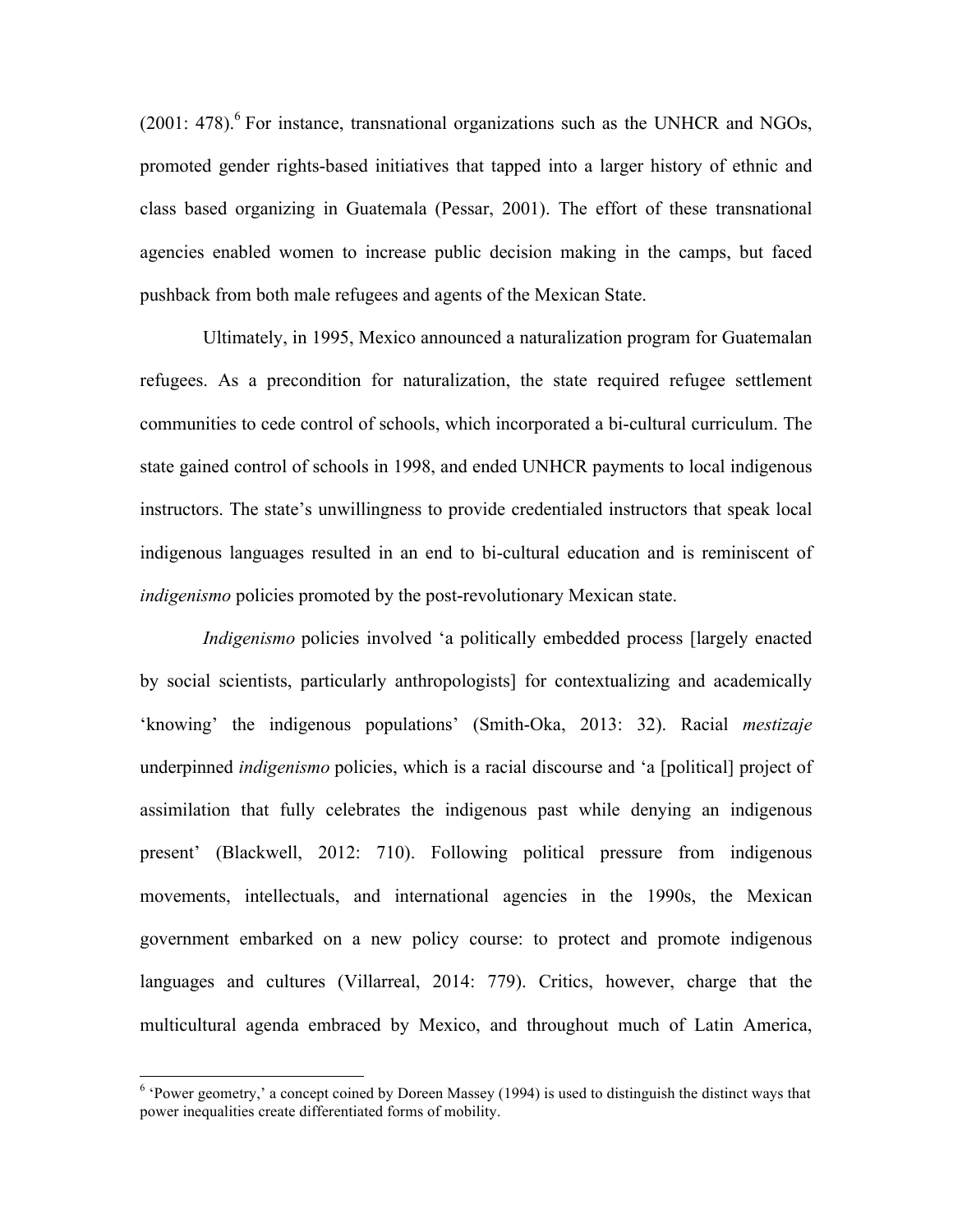$(2001: 478)$ .<sup>6</sup> For instance, transnational organizations such as the UNHCR and NGOs, promoted gender rights-based initiatives that tapped into a larger history of ethnic and class based organizing in Guatemala (Pessar, 2001). The effort of these transnational agencies enabled women to increase public decision making in the camps, but faced pushback from both male refugees and agents of the Mexican State.

Ultimately, in 1995, Mexico announced a naturalization program for Guatemalan refugees. As a precondition for naturalization, the state required refugee settlement communities to cede control of schools, which incorporated a bi-cultural curriculum. The state gained control of schools in 1998, and ended UNHCR payments to local indigenous instructors. The state's unwillingness to provide credentialed instructors that speak local indigenous languages resulted in an end to bi-cultural education and is reminiscent of *indigenismo* policies promoted by the post-revolutionary Mexican state.

*Indigenismo* policies involved 'a politically embedded process [largely enacted] by social scientists, particularly anthropologists] for contextualizing and academically 'knowing' the indigenous populations' (Smith-Oka, 2013: 32). Racial *mestizaje*  underpinned *indigenismo* policies, which is a racial discourse and 'a [political] project of assimilation that fully celebrates the indigenous past while denying an indigenous present' (Blackwell, 2012: 710). Following political pressure from indigenous movements, intellectuals, and international agencies in the 1990s, the Mexican government embarked on a new policy course: to protect and promote indigenous languages and cultures (Villarreal, 2014: 779). Critics, however, charge that the multicultural agenda embraced by Mexico, and throughout much of Latin America,

 $6$  'Power geometry,' a concept coined by Doreen Massey (1994) is used to distinguish the distinct ways that power inequalities create differentiated forms of mobility.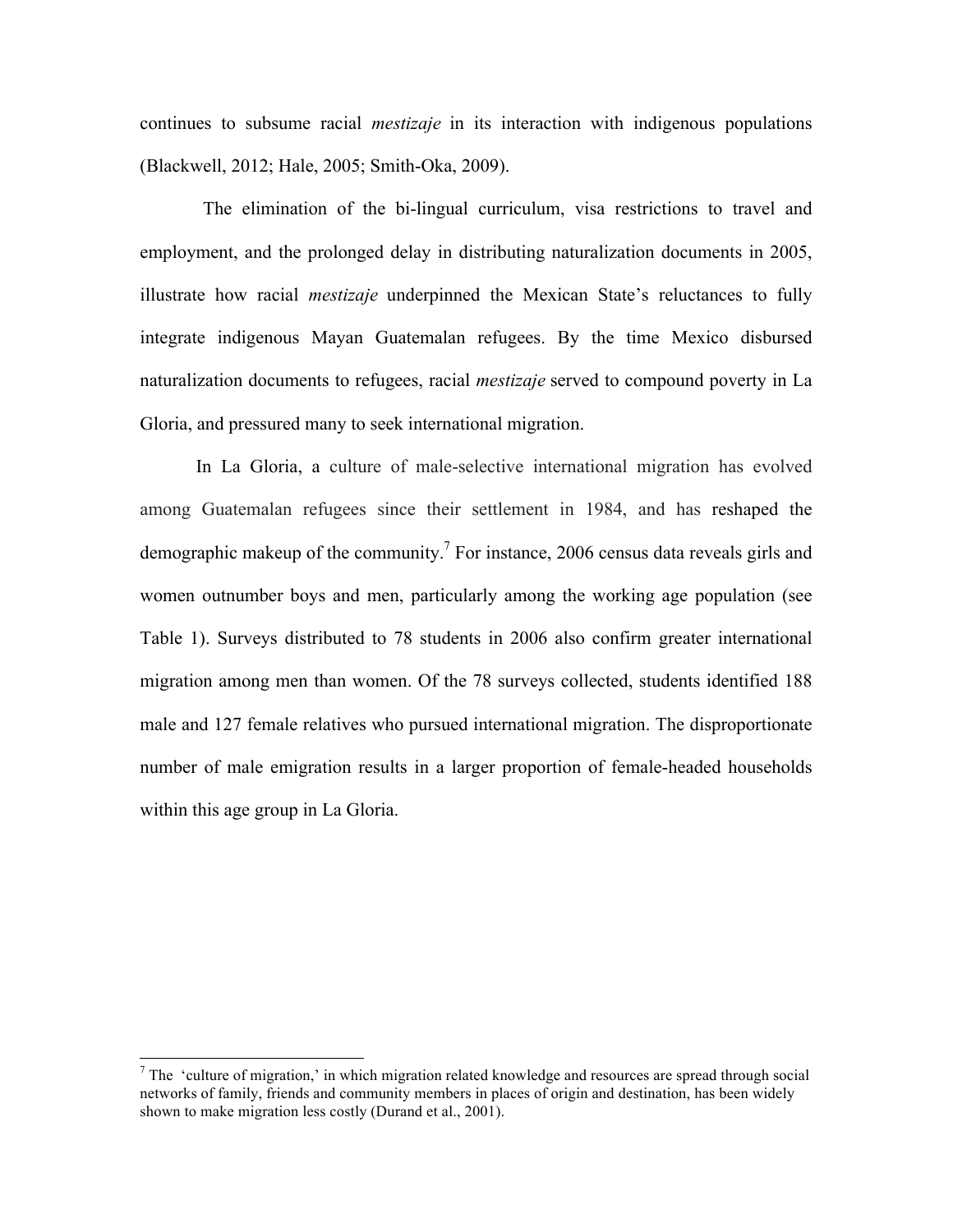continues to subsume racial *mestizaje* in its interaction with indigenous populations (Blackwell, 2012; Hale, 2005; Smith-Oka, 2009).

The elimination of the bi-lingual curriculum, visa restrictions to travel and employment, and the prolonged delay in distributing naturalization documents in 2005, illustrate how racial *mestizaje* underpinned the Mexican State's reluctances to fully integrate indigenous Mayan Guatemalan refugees. By the time Mexico disbursed naturalization documents to refugees, racial *mestizaje* served to compound poverty in La Gloria, and pressured many to seek international migration.

In La Gloria, a culture of male-selective international migration has evolved among Guatemalan refugees since their settlement in 1984, and has reshaped the demographic makeup of the community.<sup>7</sup> For instance, 2006 census data reveals girls and women outnumber boys and men, particularly among the working age population (see Table 1). Surveys distributed to 78 students in 2006 also confirm greater international migration among men than women. Of the 78 surveys collected, students identified 188 male and 127 female relatives who pursued international migration. The disproportionate number of male emigration results in a larger proportion of female-headed households within this age group in La Gloria.

 $<sup>7</sup>$  The 'culture of migration,' in which migration related knowledge and resources are spread through social</sup> networks of family, friends and community members in places of origin and destination, has been widely shown to make migration less costly (Durand et al., 2001).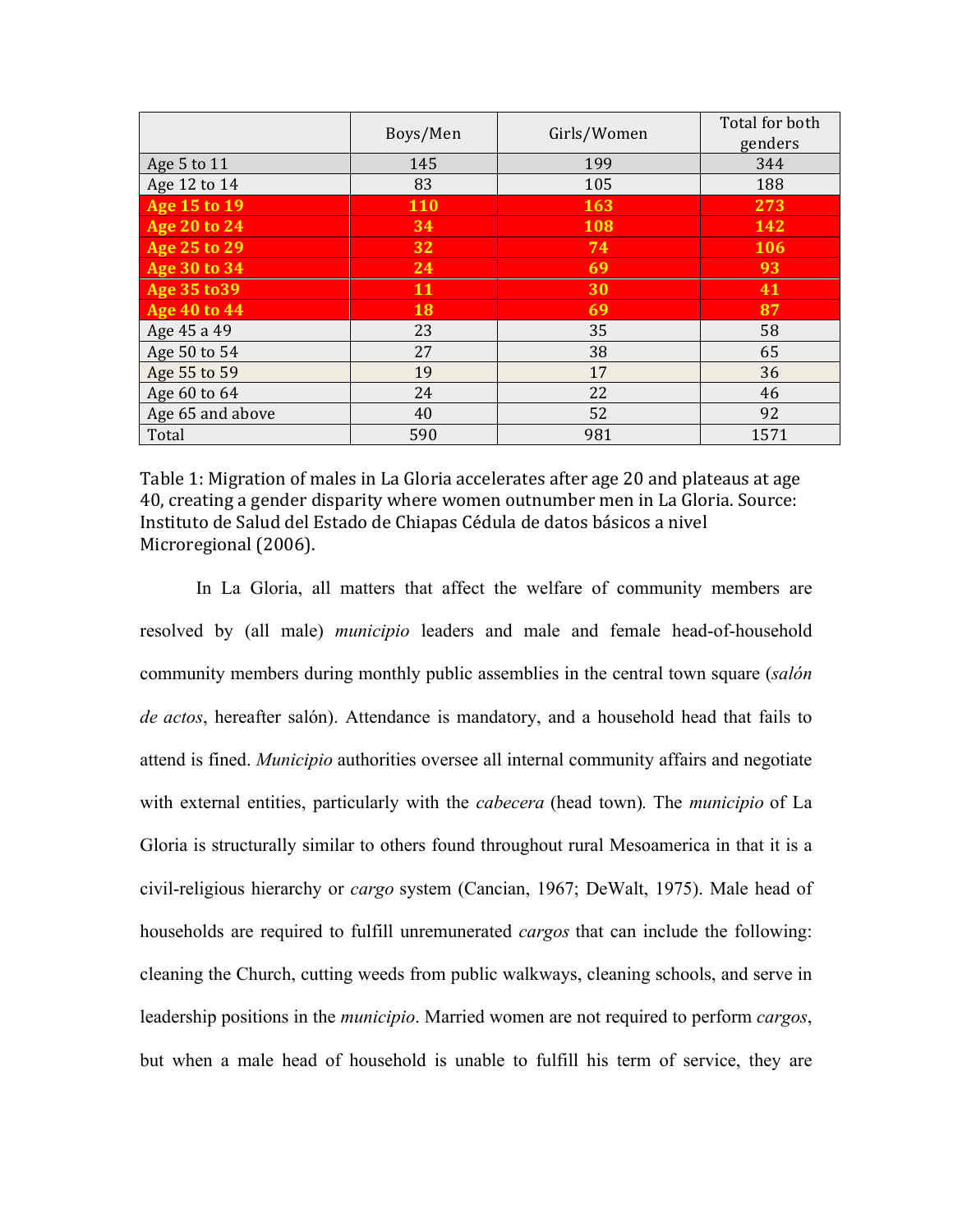|                     | Boys/Men   | Girls/Women | Total for both<br>genders |
|---------------------|------------|-------------|---------------------------|
| Age 5 to 11         | 145        | 199         | 344                       |
| Age 12 to 14        | 83         | 105         | 188                       |
| Age 15 to 19        | <b>110</b> | 163         | 273                       |
| Age 20 to 24        | 34         | 108         | <b>142</b>                |
| Age 25 to 29        | 32         | 74          | 106                       |
| <b>Age 30 to 34</b> | 24         | 69          | 93                        |
| Age 35 to 39        | 11         | 30          | 41                        |
| <b>Age 40 to 44</b> | 18         | 69          | 87                        |
| Age 45 a 49         | 23         | 35          | 58                        |
| Age 50 to 54        | 27         | 38          | 65                        |
| Age 55 to 59        | 19         | 17          | 36                        |
| Age 60 to 64        | 24         | 22          | 46                        |
| Age 65 and above    | 40         | 52          | 92                        |
| Total               | 590        | 981         | 1571                      |

Table 1: Migration of males in La Gloria accelerates after age 20 and plateaus at age 40, creating a gender disparity where women outnumber men in La Gloria. Source: Instituto de Salud del Estado de Chiapas Cédula de datos básicos a nivel Microregional (2006).

In La Gloria, all matters that affect the welfare of community members are resolved by (all male) *municipio* leaders and male and female head-of-household community members during monthly public assemblies in the central town square (*salón de actos*, hereafter salón). Attendance is mandatory, and a household head that fails to attend is fined. *Municipio* authorities oversee all internal community affairs and negotiate with external entities, particularly with the *cabecera* (head town)*.* The *municipio* of La Gloria is structurally similar to others found throughout rural Mesoamerica in that it is a civil-religious hierarchy or *cargo* system (Cancian, 1967; DeWalt, 1975). Male head of households are required to fulfill unremunerated *cargos* that can include the following: cleaning the Church, cutting weeds from public walkways, cleaning schools, and serve in leadership positions in the *municipio*. Married women are not required to perform *cargos*, but when a male head of household is unable to fulfill his term of service, they are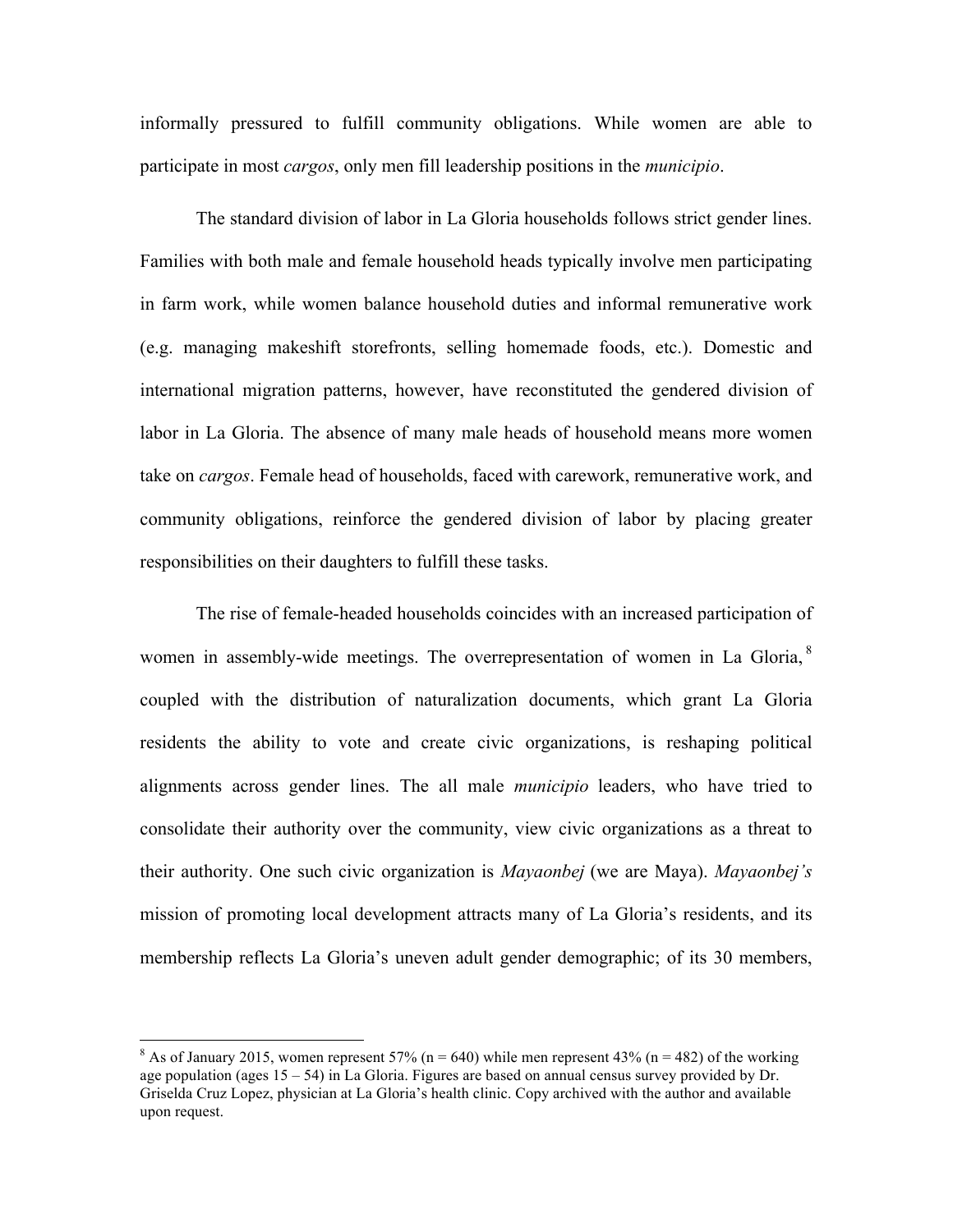informally pressured to fulfill community obligations. While women are able to participate in most *cargos*, only men fill leadership positions in the *municipio*.

The standard division of labor in La Gloria households follows strict gender lines. Families with both male and female household heads typically involve men participating in farm work, while women balance household duties and informal remunerative work (e.g. managing makeshift storefronts, selling homemade foods, etc.). Domestic and international migration patterns, however, have reconstituted the gendered division of labor in La Gloria. The absence of many male heads of household means more women take on *cargos*. Female head of households, faced with carework, remunerative work, and community obligations, reinforce the gendered division of labor by placing greater responsibilities on their daughters to fulfill these tasks.

The rise of female-headed households coincides with an increased participation of women in assembly-wide meetings. The overrepresentation of women in La Gloria, <sup>8</sup> coupled with the distribution of naturalization documents, which grant La Gloria residents the ability to vote and create civic organizations, is reshaping political alignments across gender lines. The all male *municipio* leaders, who have tried to consolidate their authority over the community, view civic organizations as a threat to their authority. One such civic organization is *Mayaonbej* (we are Maya). *Mayaonbej's*  mission of promoting local development attracts many of La Gloria's residents, and its membership reflects La Gloria's uneven adult gender demographic; of its 30 members,

<sup>&</sup>lt;sup>8</sup> As of January 2015, women represent 57% (n = 640) while men represent 43% (n = 482) of the working age population (ages 15 – 54) in La Gloria. Figures are based on annual census survey provided by Dr. Griselda Cruz Lopez, physician at La Gloria's health clinic. Copy archived with the author and available upon request.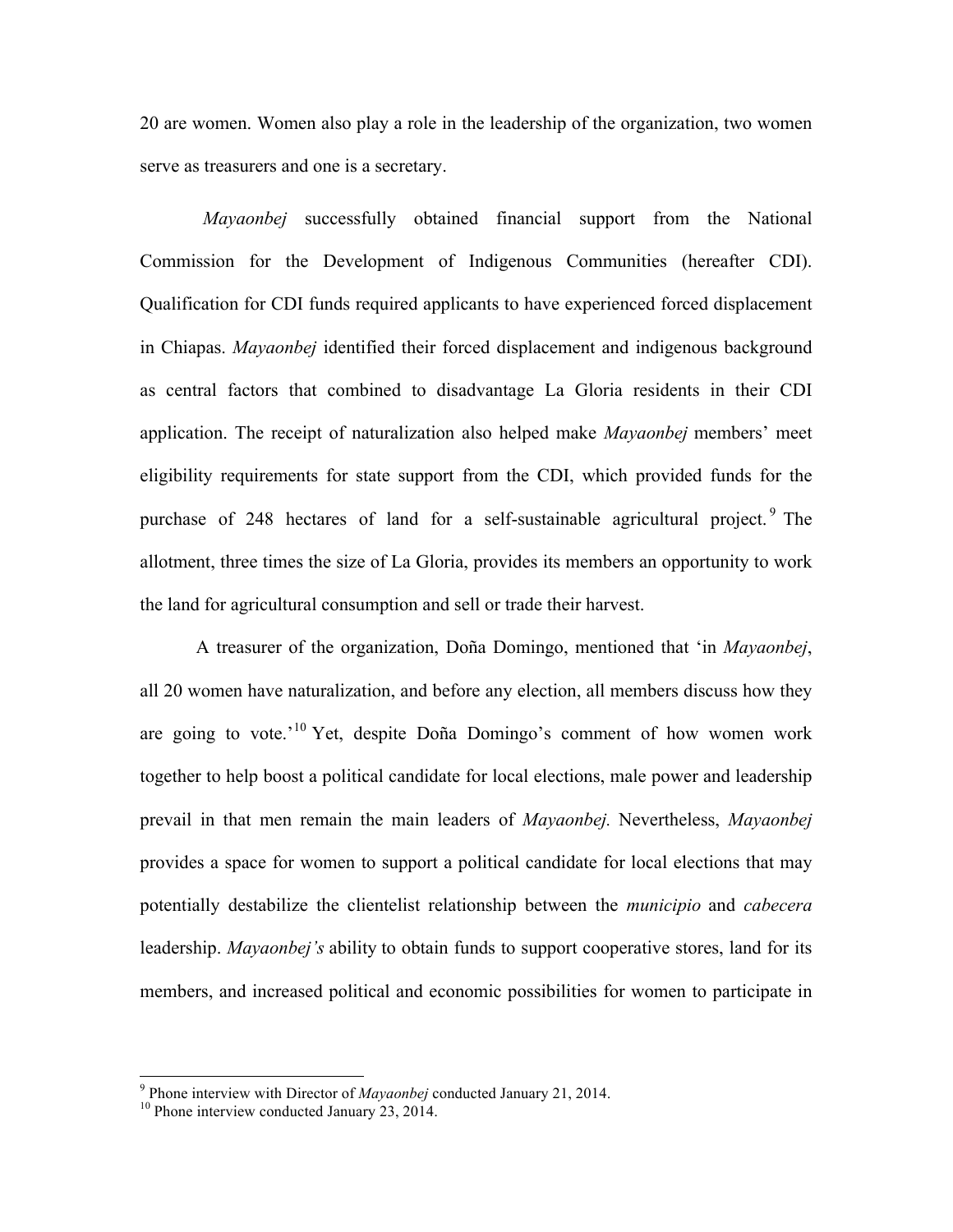20 are women. Women also play a role in the leadership of the organization, two women serve as treasurers and one is a secretary.

*Mayaonbej* successfully obtained financial support from the National Commission for the Development of Indigenous Communities (hereafter CDI). Qualification for CDI funds required applicants to have experienced forced displacement in Chiapas. *Mayaonbej* identified their forced displacement and indigenous background as central factors that combined to disadvantage La Gloria residents in their CDI application. The receipt of naturalization also helped make *Mayaonbej* members' meet eligibility requirements for state support from the CDI, which provided funds for the purchase of 248 hectares of land for a self-sustainable agricultural project.<sup>9</sup> The allotment, three times the size of La Gloria, provides its members an opportunity to work the land for agricultural consumption and sell or trade their harvest.

A treasurer of the organization, Doña Domingo, mentioned that 'in *Mayaonbej*, all 20 women have naturalization, and before any election, all members discuss how they are going to vote.<sup> $10$ </sup> Yet, despite Doña Domingo's comment of how women work together to help boost a political candidate for local elections, male power and leadership prevail in that men remain the main leaders of *Mayaonbej.* Nevertheless, *Mayaonbej*  provides a space for women to support a political candidate for local elections that may potentially destabilize the clientelist relationship between the *municipio* and *cabecera*  leadership. *Mayaonbej's* ability to obtain funds to support cooperative stores, land for its members, and increased political and economic possibilities for women to participate in

<sup>&</sup>lt;sup>9</sup> Phone interview with Director of *Mayaonbej* conducted January 21, 2014. <sup>10</sup> Phone interview conducted January 23, 2014.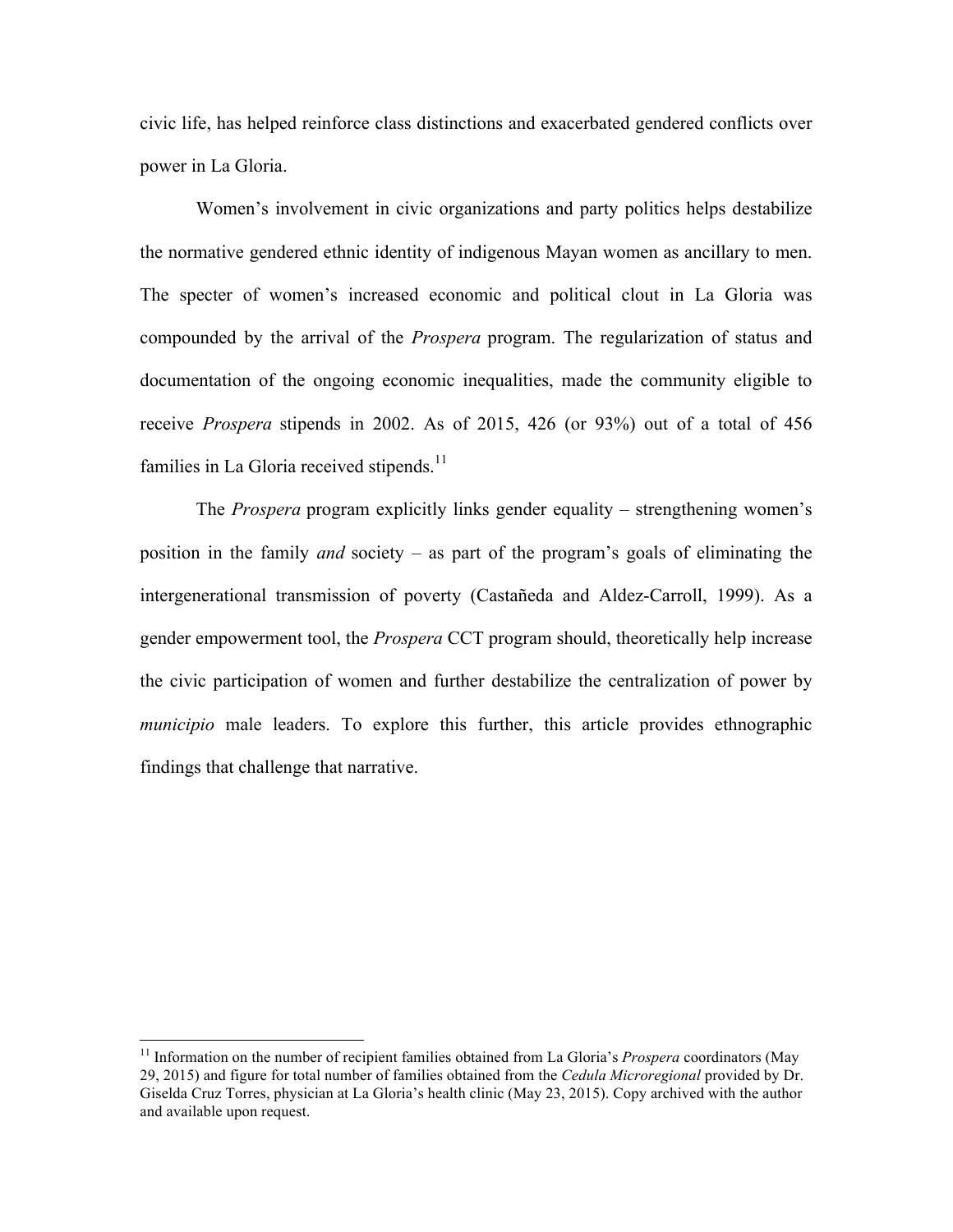civic life, has helped reinforce class distinctions and exacerbated gendered conflicts over power in La Gloria.

Women's involvement in civic organizations and party politics helps destabilize the normative gendered ethnic identity of indigenous Mayan women as ancillary to men. The specter of women's increased economic and political clout in La Gloria was compounded by the arrival of the *Prospera* program. The regularization of status and documentation of the ongoing economic inequalities, made the community eligible to receive *Prospera* stipends in 2002. As of 2015, 426 (or 93%) out of a total of 456 families in La Gloria received stipends.<sup>11</sup>

The *Prospera* program explicitly links gender equality – strengthening women's position in the family *and* society – as part of the program's goals of eliminating the intergenerational transmission of poverty (Castañeda and Aldez-Carroll, 1999). As a gender empowerment tool, the *Prospera* CCT program should, theoretically help increase the civic participation of women and further destabilize the centralization of power by *municipio* male leaders. To explore this further, this article provides ethnographic findings that challenge that narrative.

 <sup>11</sup> Information on the number of recipient families obtained from La Gloria's *Prospera* coordinators (May 29, 2015) and figure for total number of families obtained from the *Cedula Microregional* provided by Dr. Giselda Cruz Torres, physician at La Gloria's health clinic (May 23, 2015). Copy archived with the author and available upon request.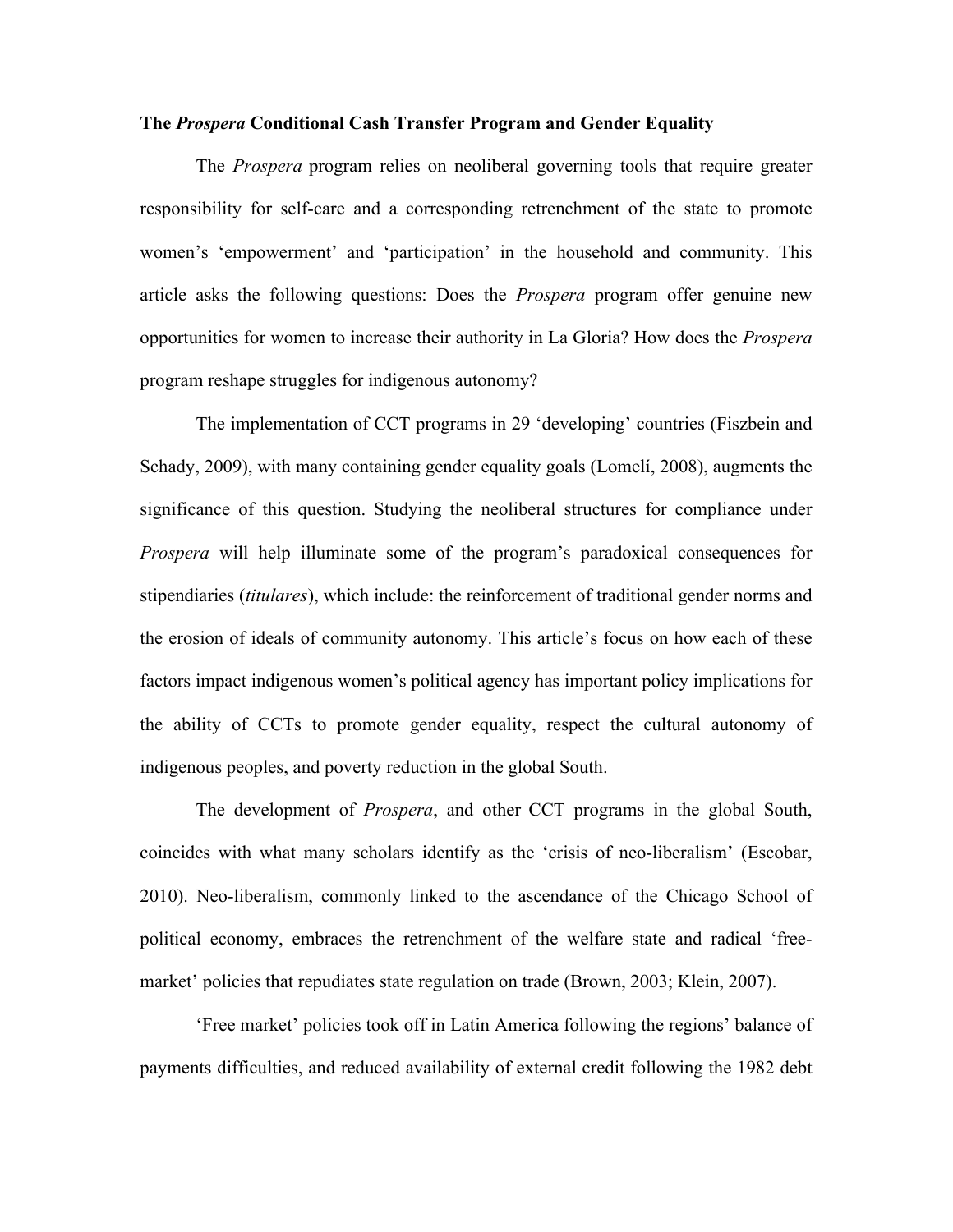#### **The** *Prospera* **Conditional Cash Transfer Program and Gender Equality**

The *Prospera* program relies on neoliberal governing tools that require greater responsibility for self-care and a corresponding retrenchment of the state to promote women's 'empowerment' and 'participation' in the household and community. This article asks the following questions: Does the *Prospera* program offer genuine new opportunities for women to increase their authority in La Gloria? How does the *Prospera*  program reshape struggles for indigenous autonomy?

The implementation of CCT programs in 29 'developing' countries (Fiszbein and Schady, 2009), with many containing gender equality goals (Lomelí, 2008), augments the significance of this question. Studying the neoliberal structures for compliance under *Prospera* will help illuminate some of the program's paradoxical consequences for stipendiaries (*titulares*), which include: the reinforcement of traditional gender norms and the erosion of ideals of community autonomy. This article's focus on how each of these factors impact indigenous women's political agency has important policy implications for the ability of CCTs to promote gender equality, respect the cultural autonomy of indigenous peoples, and poverty reduction in the global South.

The development of *Prospera*, and other CCT programs in the global South, coincides with what many scholars identify as the 'crisis of neo-liberalism' (Escobar, 2010). Neo-liberalism, commonly linked to the ascendance of the Chicago School of political economy, embraces the retrenchment of the welfare state and radical 'freemarket' policies that repudiates state regulation on trade (Brown, 2003; Klein, 2007).

'Free market' policies took off in Latin America following the regions' balance of payments difficulties, and reduced availability of external credit following the 1982 debt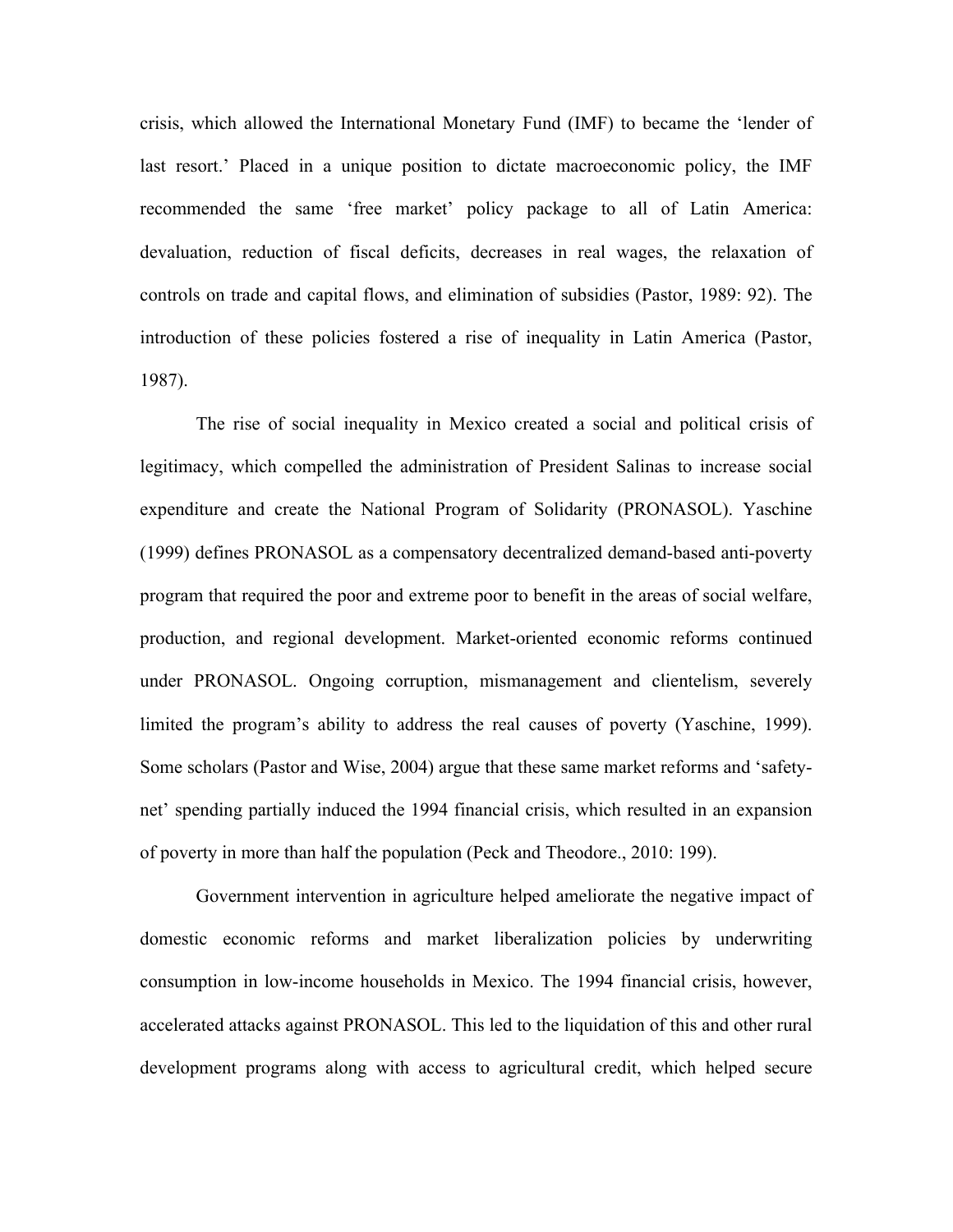crisis, which allowed the International Monetary Fund (IMF) to became the 'lender of last resort.' Placed in a unique position to dictate macroeconomic policy, the IMF recommended the same 'free market' policy package to all of Latin America: devaluation, reduction of fiscal deficits, decreases in real wages, the relaxation of controls on trade and capital flows, and elimination of subsidies (Pastor, 1989: 92). The introduction of these policies fostered a rise of inequality in Latin America (Pastor, 1987).

The rise of social inequality in Mexico created a social and political crisis of legitimacy, which compelled the administration of President Salinas to increase social expenditure and create the National Program of Solidarity (PRONASOL). Yaschine (1999) defines PRONASOL as a compensatory decentralized demand-based anti-poverty program that required the poor and extreme poor to benefit in the areas of social welfare, production, and regional development. Market-oriented economic reforms continued under PRONASOL. Ongoing corruption, mismanagement and clientelism, severely limited the program's ability to address the real causes of poverty (Yaschine, 1999). Some scholars (Pastor and Wise, 2004) argue that these same market reforms and 'safetynet' spending partially induced the 1994 financial crisis, which resulted in an expansion of poverty in more than half the population (Peck and Theodore., 2010: 199).

Government intervention in agriculture helped ameliorate the negative impact of domestic economic reforms and market liberalization policies by underwriting consumption in low-income households in Mexico. The 1994 financial crisis, however, accelerated attacks against PRONASOL. This led to the liquidation of this and other rural development programs along with access to agricultural credit, which helped secure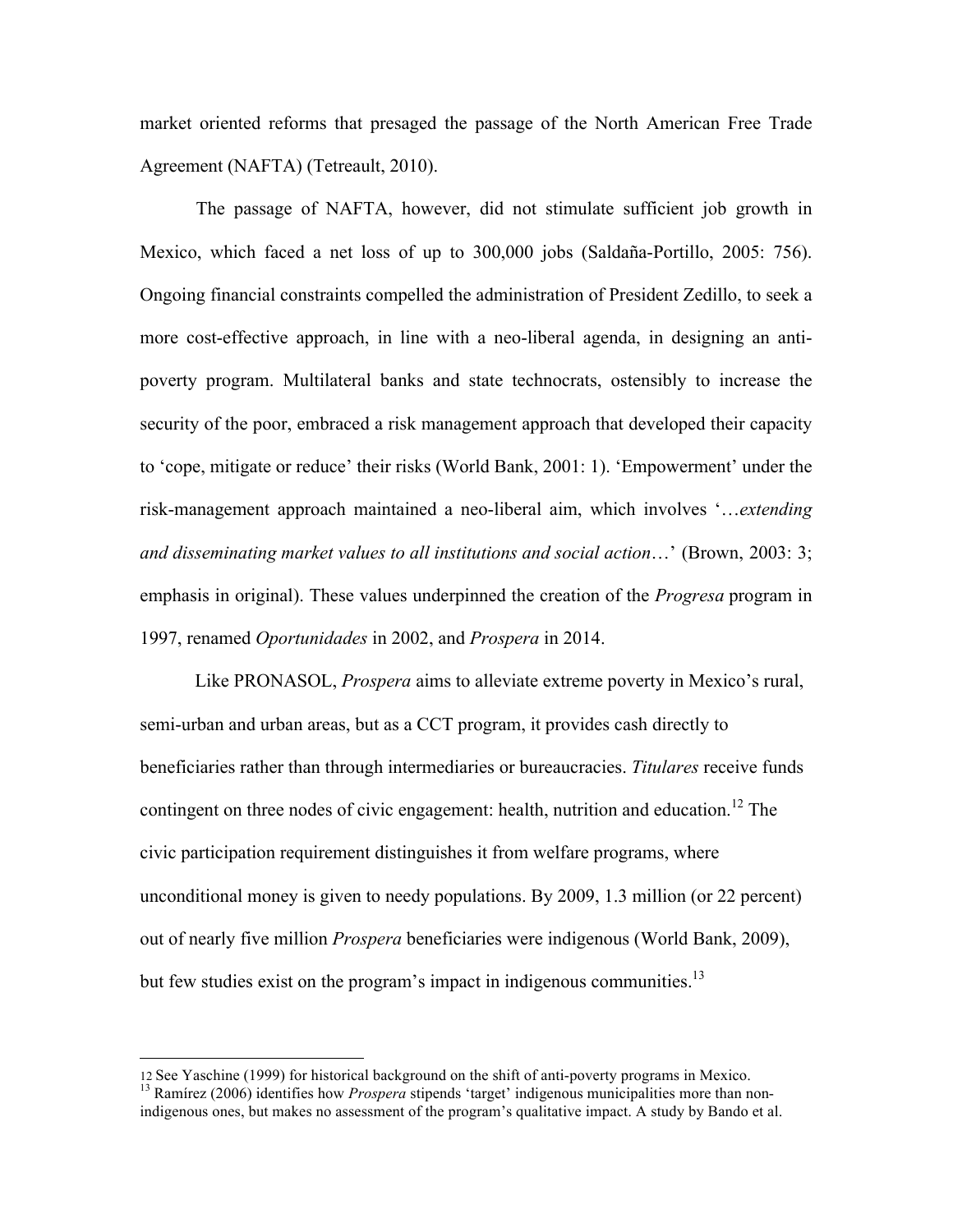market oriented reforms that presaged the passage of the North American Free Trade Agreement (NAFTA) (Tetreault, 2010).

The passage of NAFTA, however, did not stimulate sufficient job growth in Mexico, which faced a net loss of up to 300,000 jobs (Saldaña-Portillo, 2005: 756). Ongoing financial constraints compelled the administration of President Zedillo, to seek a more cost-effective approach, in line with a neo-liberal agenda, in designing an antipoverty program. Multilateral banks and state technocrats, ostensibly to increase the security of the poor, embraced a risk management approach that developed their capacity to 'cope, mitigate or reduce' their risks (World Bank, 2001: 1). 'Empowerment' under the risk-management approach maintained a neo-liberal aim, which involves '…*extending and disseminating market values to all institutions and social action*…' (Brown, 2003: 3; emphasis in original). These values underpinned the creation of the *Progresa* program in 1997, renamed *Oportunidades* in 2002, and *Prospera* in 2014.

Like PRONASOL, *Prospera* aims to alleviate extreme poverty in Mexico's rural, semi-urban and urban areas, but as a CCT program, it provides cash directly to beneficiaries rather than through intermediaries or bureaucracies. *Titulares* receive funds contingent on three nodes of civic engagement: health, nutrition and education.<sup>12</sup> The civic participation requirement distinguishes it from welfare programs, where unconditional money is given to needy populations. By 2009, 1.3 million (or 22 percent) out of nearly five million *Prospera* beneficiaries were indigenous (World Bank, 2009), but few studies exist on the program's impact in indigenous communities.<sup>13</sup>

 

<sup>12</sup> See Yaschine (1999) for historical background on the shift of anti-poverty programs in Mexico. 13 Ramírez (2006) identifies how *Prospera* stipends 'target' indigenous municipalities more than non-

indigenous ones, but makes no assessment of the program's qualitative impact. A study by Bando et al.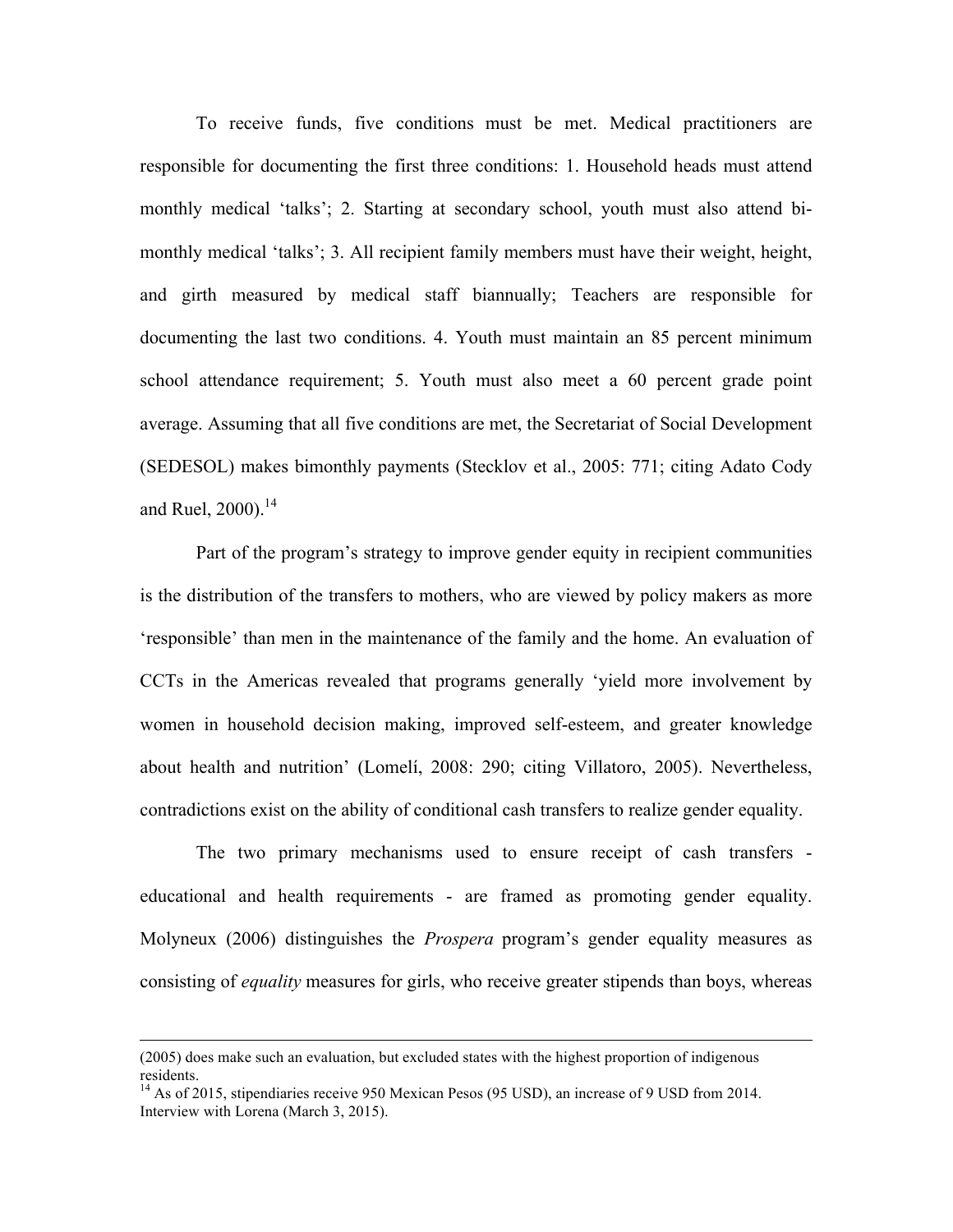To receive funds, five conditions must be met. Medical practitioners are responsible for documenting the first three conditions: 1. Household heads must attend monthly medical 'talks'; 2. Starting at secondary school, youth must also attend bimonthly medical 'talks'; 3. All recipient family members must have their weight, height, and girth measured by medical staff biannually; Teachers are responsible for documenting the last two conditions. 4. Youth must maintain an 85 percent minimum school attendance requirement; 5. Youth must also meet a 60 percent grade point average. Assuming that all five conditions are met, the Secretariat of Social Development (SEDESOL) makes bimonthly payments (Stecklov et al., 2005: 771; citing Adato Cody and Ruel,  $2000$ ).<sup>14</sup>

Part of the program's strategy to improve gender equity in recipient communities is the distribution of the transfers to mothers, who are viewed by policy makers as more 'responsible' than men in the maintenance of the family and the home. An evaluation of CCTs in the Americas revealed that programs generally 'yield more involvement by women in household decision making, improved self-esteem, and greater knowledge about health and nutrition' (Lomelí, 2008: 290; citing Villatoro, 2005). Nevertheless, contradictions exist on the ability of conditional cash transfers to realize gender equality.

The two primary mechanisms used to ensure receipt of cash transfers educational and health requirements - are framed as promoting gender equality. Molyneux (2006) distinguishes the *Prospera* program's gender equality measures as consisting of *equality* measures for girls, who receive greater stipends than boys, whereas

<u> 1989 - Andrea San Andrea San Andrea San Andrea San Andrea San Andrea San Andrea San Andrea San Andrea San An</u>

<sup>(2005)</sup> does make such an evaluation, but excluded states with the highest proportion of indigenous residents.

<sup>&</sup>lt;sup>14</sup> As of 2015, stipendiaries receive 950 Mexican Pesos (95 USD), an increase of 9 USD from 2014. Interview with Lorena (March 3, 2015).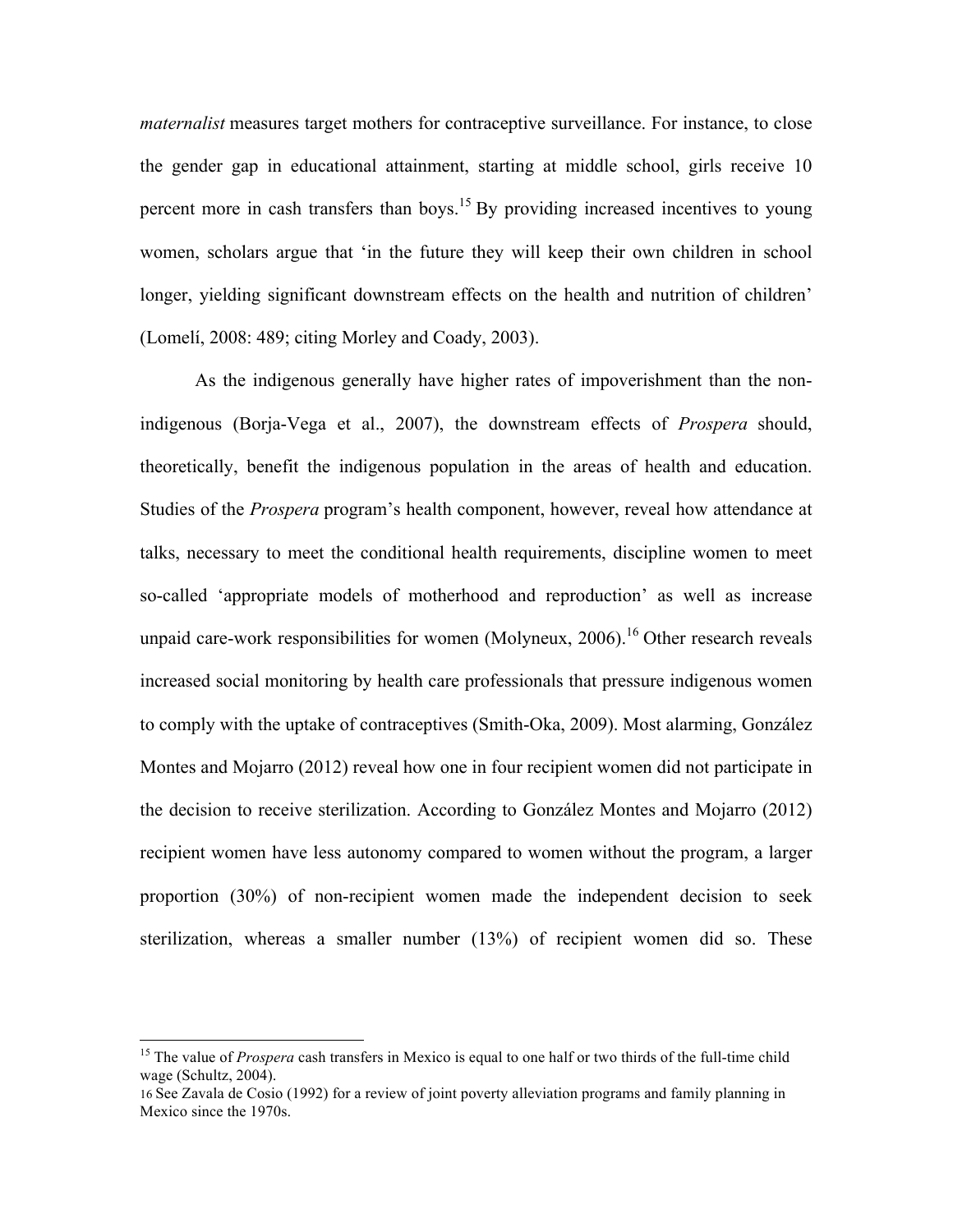*maternalist* measures target mothers for contraceptive surveillance. For instance, to close the gender gap in educational attainment, starting at middle school, girls receive 10 percent more in cash transfers than boys.<sup>15</sup> By providing increased incentives to young women, scholars argue that 'in the future they will keep their own children in school longer, yielding significant downstream effects on the health and nutrition of children' (Lomelí, 2008: 489; citing Morley and Coady, 2003).

As the indigenous generally have higher rates of impoverishment than the nonindigenous (Borja-Vega et al., 2007), the downstream effects of *Prospera* should, theoretically, benefit the indigenous population in the areas of health and education. Studies of the *Prospera* program's health component, however, reveal how attendance at talks, necessary to meet the conditional health requirements, discipline women to meet so-called 'appropriate models of motherhood and reproduction' as well as increase unpaid care-work responsibilities for women (Molyneux, 2006).<sup>16</sup> Other research reveals increased social monitoring by health care professionals that pressure indigenous women to comply with the uptake of contraceptives (Smith-Oka, 2009). Most alarming, González Montes and Mojarro (2012) reveal how one in four recipient women did not participate in the decision to receive sterilization. According to González Montes and Mojarro (2012) recipient women have less autonomy compared to women without the program, a larger proportion (30%) of non-recipient women made the independent decision to seek sterilization, whereas a smaller number (13%) of recipient women did so. These

<sup>&</sup>lt;sup>15</sup> The value of *Prospera* cash transfers in Mexico is equal to one half or two thirds of the full-time child wage (Schultz, 2004).

<sup>16</sup> See Zavala de Cosio (1992) for a review of joint poverty alleviation programs and family planning in Mexico since the 1970s.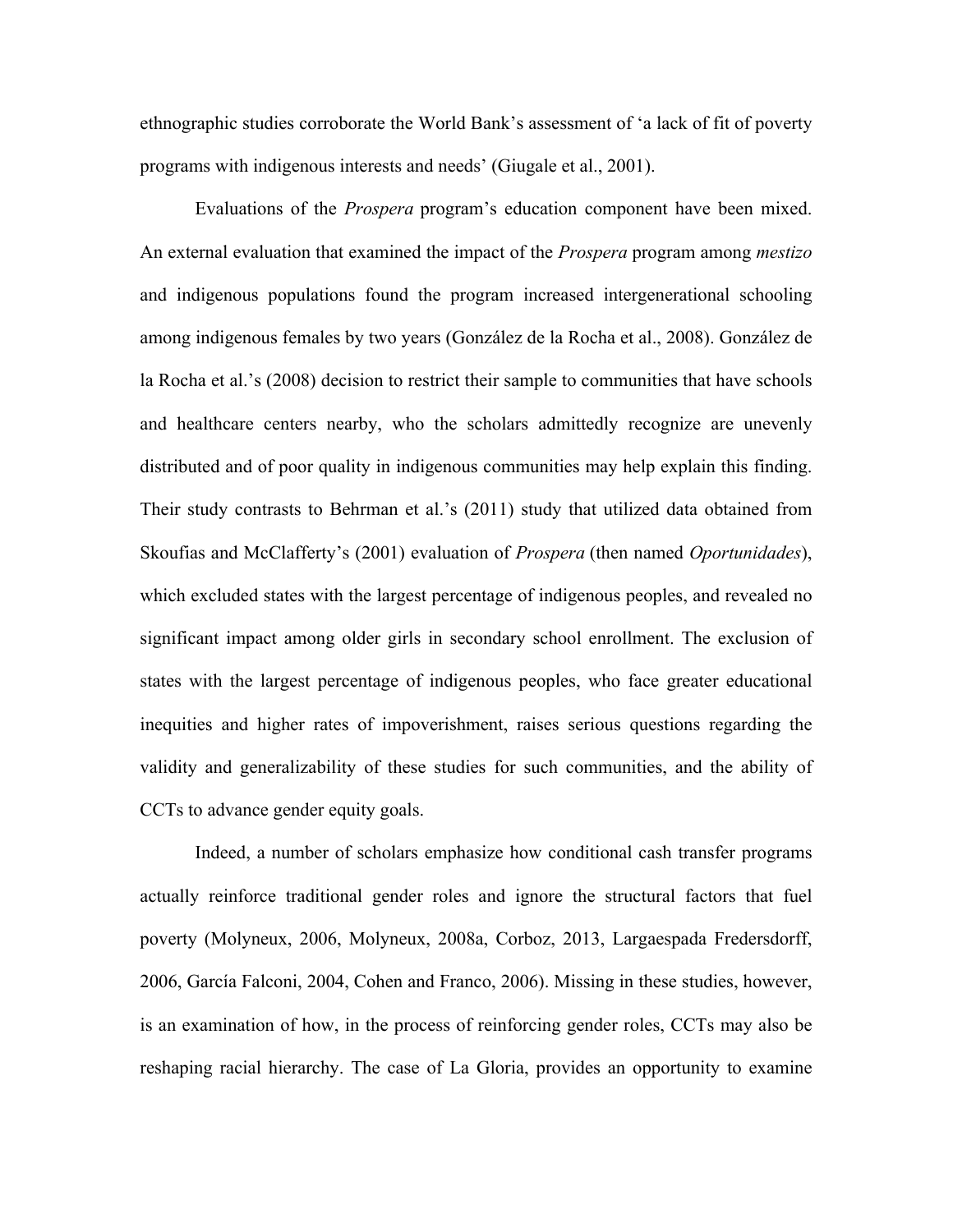ethnographic studies corroborate the World Bank's assessment of 'a lack of fit of poverty programs with indigenous interests and needs' (Giugale et al., 2001).

Evaluations of the *Prospera* program's education component have been mixed. An external evaluation that examined the impact of the *Prospera* program among *mestizo*  and indigenous populations found the program increased intergenerational schooling among indigenous females by two years (González de la Rocha et al., 2008). González de la Rocha et al.'s (2008) decision to restrict their sample to communities that have schools and healthcare centers nearby, who the scholars admittedly recognize are unevenly distributed and of poor quality in indigenous communities may help explain this finding. Their study contrasts to Behrman et al.'s (2011) study that utilized data obtained from Skoufias and McClafferty's (2001) evaluation of *Prospera* (then named *Oportunidades*), which excluded states with the largest percentage of indigenous peoples, and revealed no significant impact among older girls in secondary school enrollment. The exclusion of states with the largest percentage of indigenous peoples, who face greater educational inequities and higher rates of impoverishment, raises serious questions regarding the validity and generalizability of these studies for such communities, and the ability of CCTs to advance gender equity goals.

Indeed, a number of scholars emphasize how conditional cash transfer programs actually reinforce traditional gender roles and ignore the structural factors that fuel poverty (Molyneux, 2006, Molyneux, 2008a, Corboz, 2013, Largaespada Fredersdorff, 2006, García Falconi, 2004, Cohen and Franco, 2006). Missing in these studies, however, is an examination of how, in the process of reinforcing gender roles, CCTs may also be reshaping racial hierarchy. The case of La Gloria, provides an opportunity to examine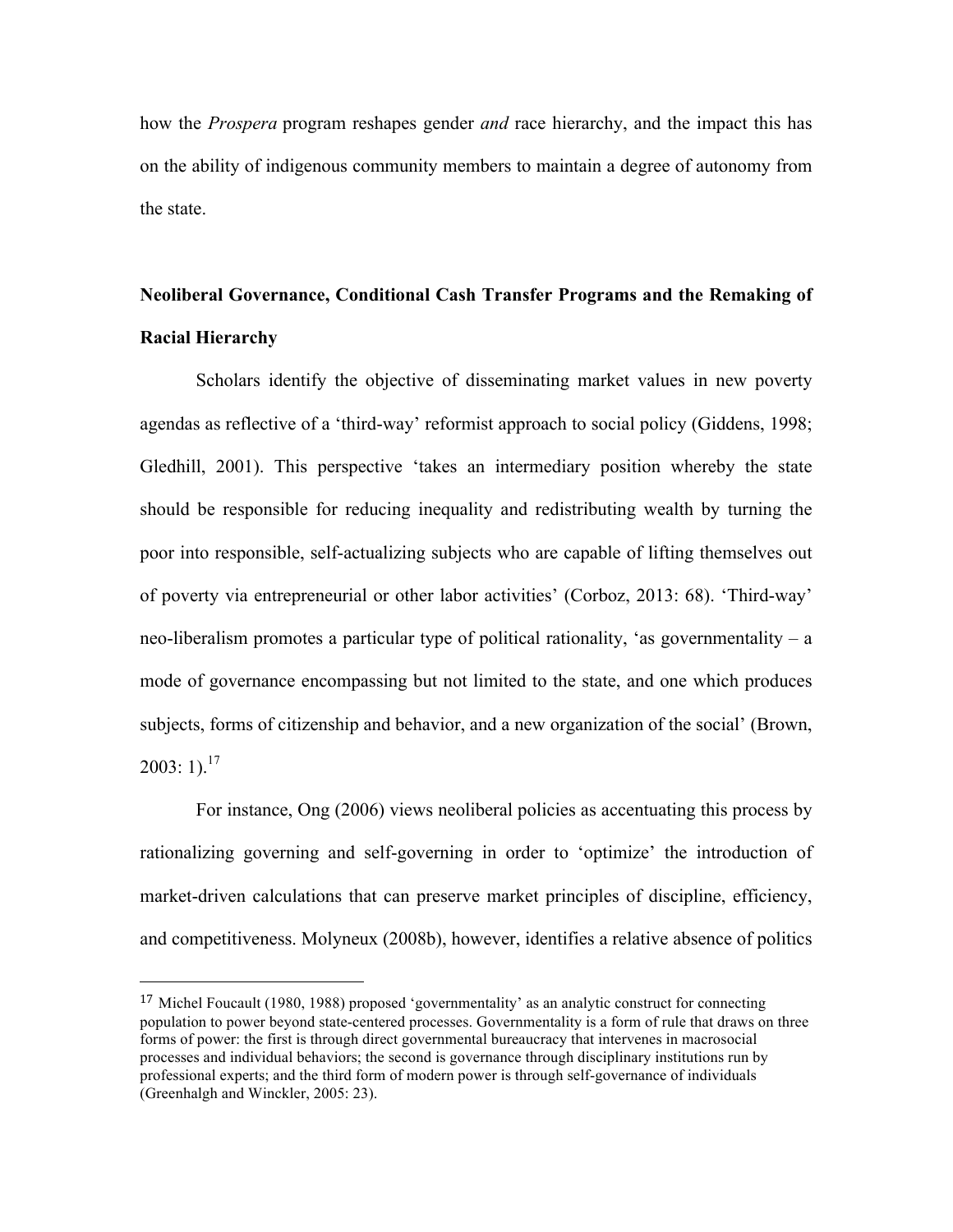how the *Prospera* program reshapes gender *and* race hierarchy, and the impact this has on the ability of indigenous community members to maintain a degree of autonomy from the state.

## **Neoliberal Governance, Conditional Cash Transfer Programs and the Remaking of Racial Hierarchy**

Scholars identify the objective of disseminating market values in new poverty agendas as reflective of a 'third-way' reformist approach to social policy (Giddens, 1998; Gledhill, 2001). This perspective 'takes an intermediary position whereby the state should be responsible for reducing inequality and redistributing wealth by turning the poor into responsible, self-actualizing subjects who are capable of lifting themselves out of poverty via entrepreneurial or other labor activities' (Corboz, 2013: 68). 'Third-way' neo-liberalism promotes a particular type of political rationality, 'as governmentality – a mode of governance encompassing but not limited to the state, and one which produces subjects, forms of citizenship and behavior, and a new organization of the social' (Brown,  $2003:1$ <sup>17</sup>

For instance, Ong (2006) views neoliberal policies as accentuating this process by rationalizing governing and self-governing in order to 'optimize' the introduction of market-driven calculations that can preserve market principles of discipline, efficiency, and competitiveness. Molyneux (2008b), however, identifies a relative absence of politics

 

 $17$  Michel Foucault (1980, 1988) proposed 'governmentality' as an analytic construct for connecting population to power beyond state-centered processes. Governmentality is a form of rule that draws on three forms of power: the first is through direct governmental bureaucracy that intervenes in macrosocial processes and individual behaviors; the second is governance through disciplinary institutions run by professional experts; and the third form of modern power is through self-governance of individuals (Greenhalgh and Winckler, 2005: 23).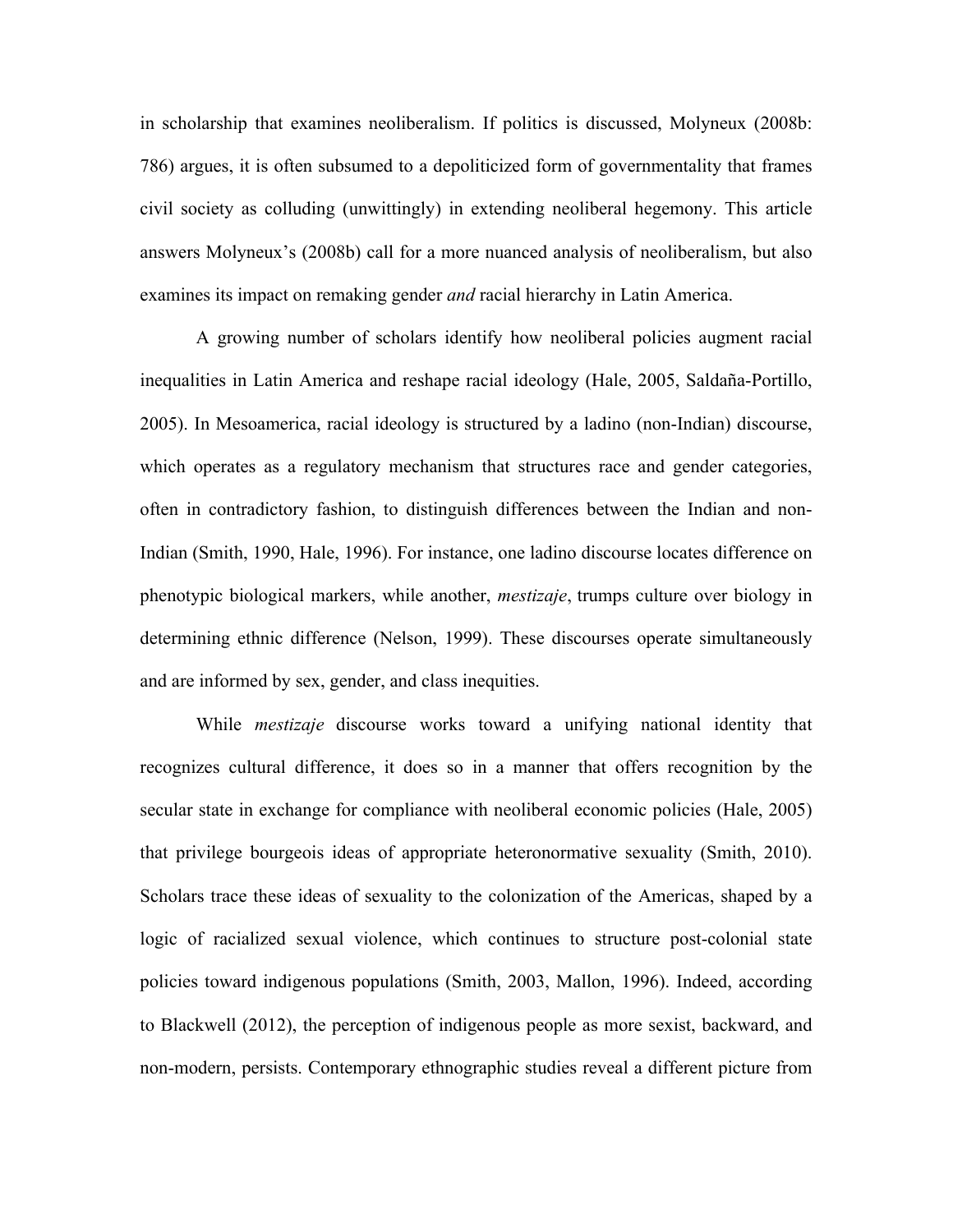in scholarship that examines neoliberalism. If politics is discussed, Molyneux (2008b: 786) argues, it is often subsumed to a depoliticized form of governmentality that frames civil society as colluding (unwittingly) in extending neoliberal hegemony. This article answers Molyneux's (2008b) call for a more nuanced analysis of neoliberalism, but also examines its impact on remaking gender *and* racial hierarchy in Latin America.

A growing number of scholars identify how neoliberal policies augment racial inequalities in Latin America and reshape racial ideology (Hale, 2005, Saldaña-Portillo, 2005). In Mesoamerica, racial ideology is structured by a ladino (non-Indian) discourse, which operates as a regulatory mechanism that structures race and gender categories, often in contradictory fashion, to distinguish differences between the Indian and non-Indian (Smith, 1990, Hale, 1996). For instance, one ladino discourse locates difference on phenotypic biological markers, while another, *mestizaje*, trumps culture over biology in determining ethnic difference (Nelson, 1999). These discourses operate simultaneously and are informed by sex, gender, and class inequities.

While *mestizaje* discourse works toward a unifying national identity that recognizes cultural difference, it does so in a manner that offers recognition by the secular state in exchange for compliance with neoliberal economic policies (Hale, 2005) that privilege bourgeois ideas of appropriate heteronormative sexuality (Smith, 2010). Scholars trace these ideas of sexuality to the colonization of the Americas, shaped by a logic of racialized sexual violence, which continues to structure post-colonial state policies toward indigenous populations (Smith, 2003, Mallon, 1996). Indeed, according to Blackwell (2012), the perception of indigenous people as more sexist, backward, and non-modern, persists. Contemporary ethnographic studies reveal a different picture from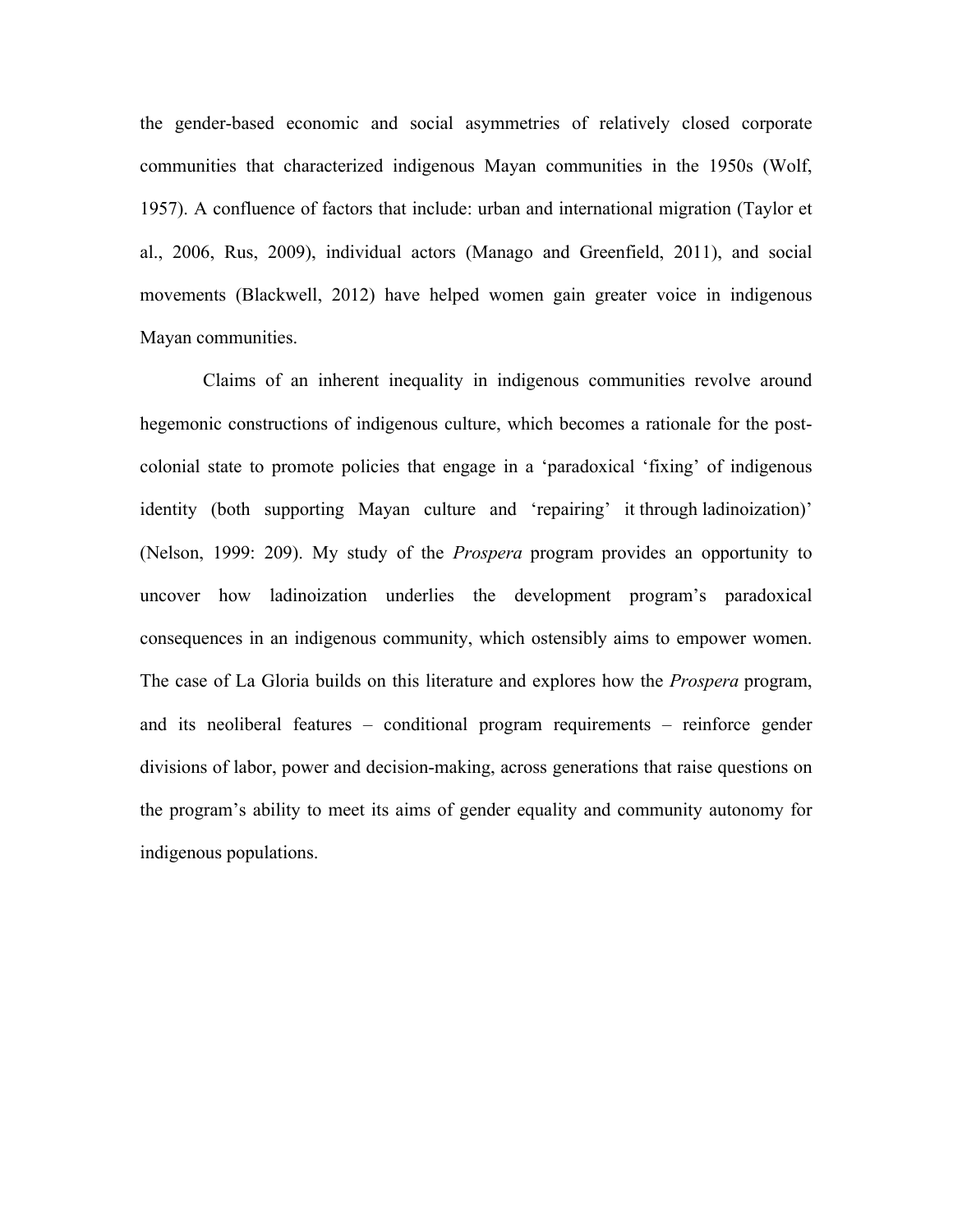the gender-based economic and social asymmetries of relatively closed corporate communities that characterized indigenous Mayan communities in the 1950s (Wolf, 1957). A confluence of factors that include: urban and international migration (Taylor et al., 2006, Rus, 2009), individual actors (Manago and Greenfield, 2011), and social movements (Blackwell, 2012) have helped women gain greater voice in indigenous Mayan communities.

Claims of an inherent inequality in indigenous communities revolve around hegemonic constructions of indigenous culture, which becomes a rationale for the postcolonial state to promote policies that engage in a 'paradoxical 'fixing' of indigenous identity (both supporting Mayan culture and 'repairing' it through ladinoization)' (Nelson, 1999: 209). My study of the *Prospera* program provides an opportunity to uncover how ladinoization underlies the development program's paradoxical consequences in an indigenous community, which ostensibly aims to empower women. The case of La Gloria builds on this literature and explores how the *Prospera* program, and its neoliberal features – conditional program requirements – reinforce gender divisions of labor, power and decision-making, across generations that raise questions on the program's ability to meet its aims of gender equality and community autonomy for indigenous populations.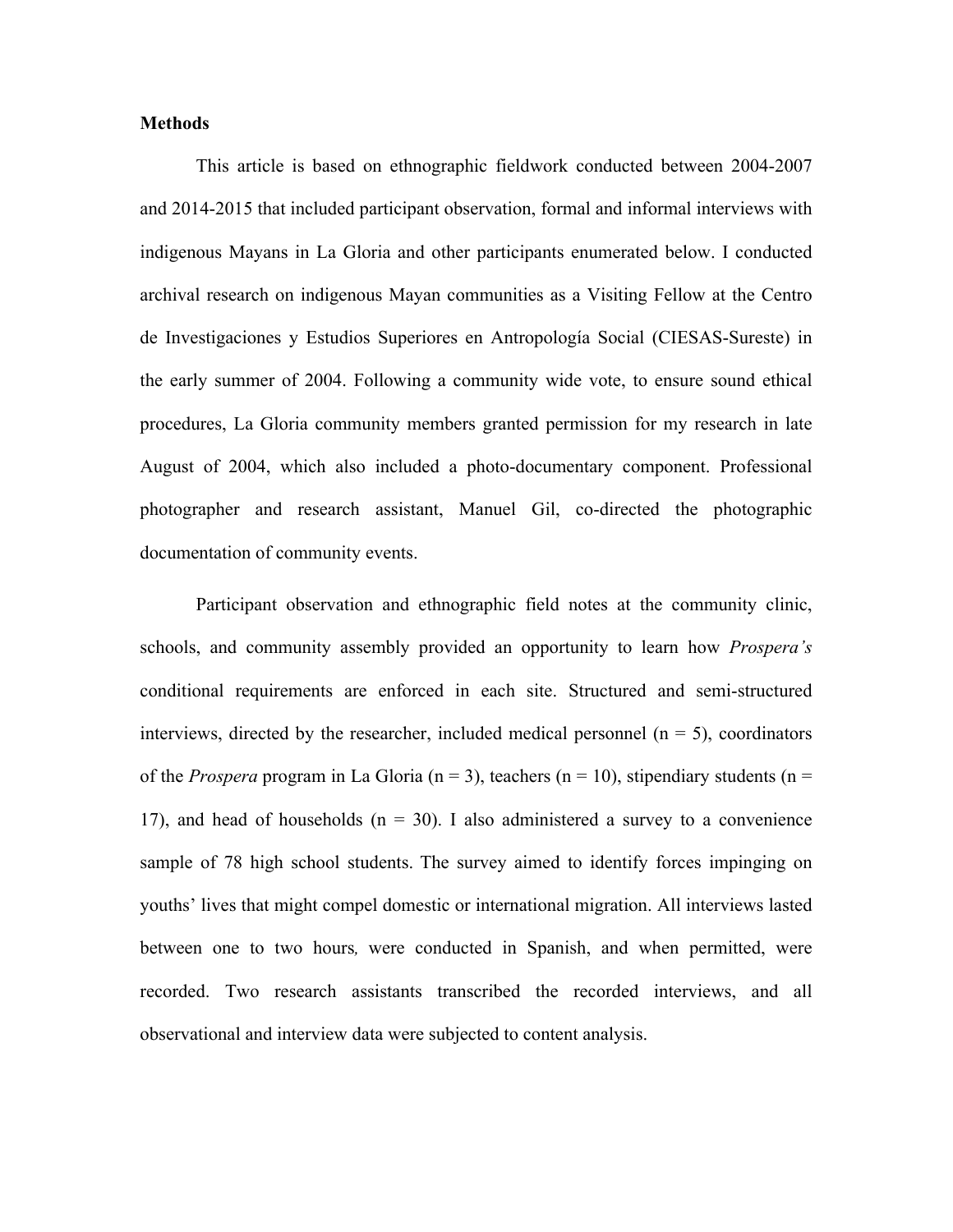#### **Methods**

This article is based on ethnographic fieldwork conducted between 2004-2007 and 2014-2015 that included participant observation, formal and informal interviews with indigenous Mayans in La Gloria and other participants enumerated below. I conducted archival research on indigenous Mayan communities as a Visiting Fellow at the Centro de Investigaciones y Estudios Superiores en Antropología Social (CIESAS-Sureste) in the early summer of 2004. Following a community wide vote, to ensure sound ethical procedures, La Gloria community members granted permission for my research in late August of 2004, which also included a photo-documentary component. Professional photographer and research assistant, Manuel Gil, co-directed the photographic documentation of community events.

Participant observation and ethnographic field notes at the community clinic, schools, and community assembly provided an opportunity to learn how *Prospera's* conditional requirements are enforced in each site. Structured and semi-structured interviews, directed by the researcher, included medical personnel  $(n = 5)$ , coordinators of the *Prospera* program in La Gloria ( $n = 3$ ), teachers ( $n = 10$ ), stipendiary students ( $n =$ 17), and head of households  $(n = 30)$ . I also administered a survey to a convenience sample of 78 high school students. The survey aimed to identify forces impinging on youths' lives that might compel domestic or international migration. All interviews lasted between one to two hours*,* were conducted in Spanish, and when permitted, were recorded. Two research assistants transcribed the recorded interviews, and all observational and interview data were subjected to content analysis.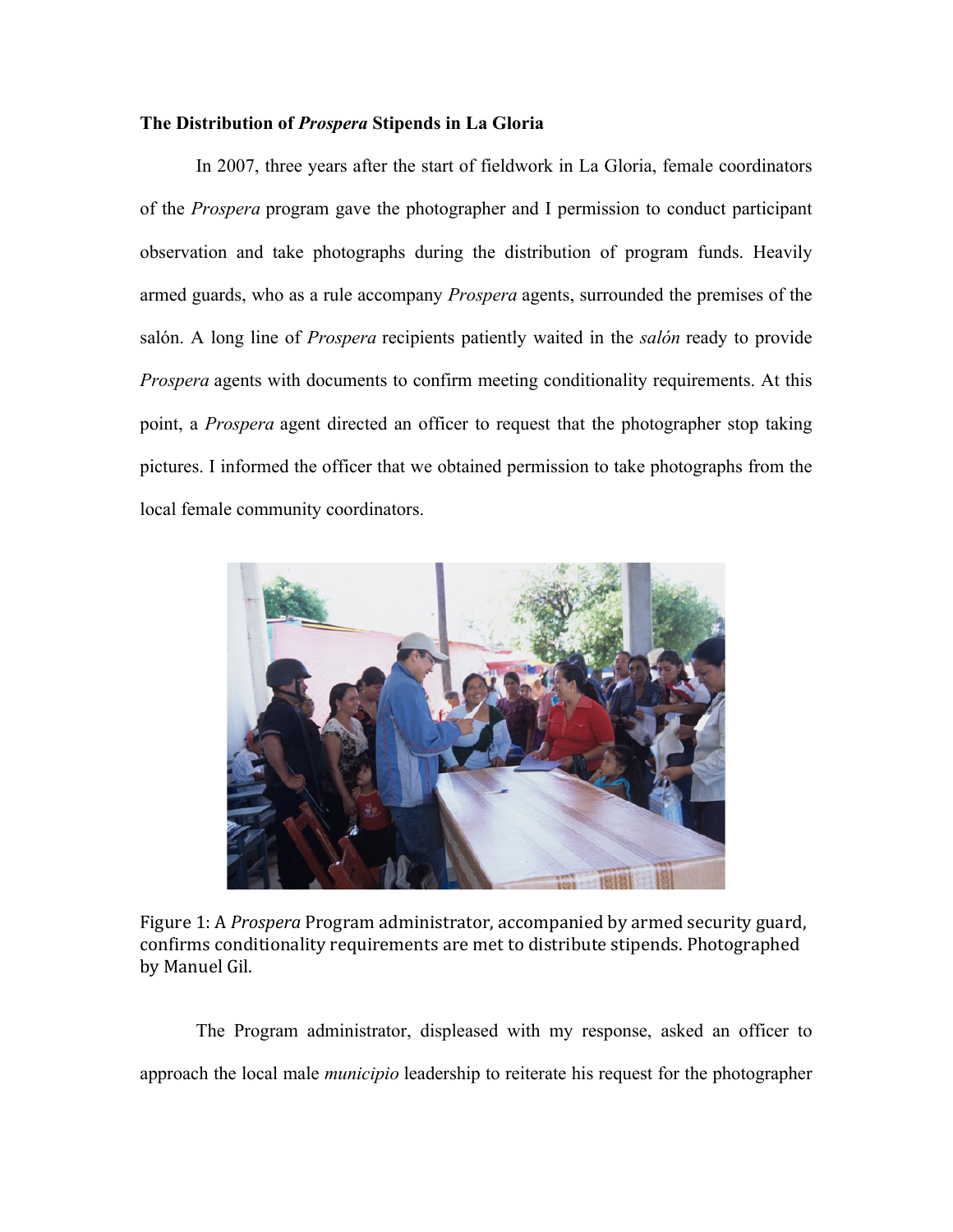#### **The Distribution of** *Prospera* **Stipends in La Gloria**

In 2007, three years after the start of fieldwork in La Gloria, female coordinators of the *Prospera* program gave the photographer and I permission to conduct participant observation and take photographs during the distribution of program funds. Heavily armed guards, who as a rule accompany *Prospera* agents, surrounded the premises of the salón. A long line of *Prospera* recipients patiently waited in the *salón* ready to provide *Prospera* agents with documents to confirm meeting conditionality requirements. At this point, a *Prospera* agent directed an officer to request that the photographer stop taking pictures. I informed the officer that we obtained permission to take photographs from the local female community coordinators.



Figure 1: A *Prospera* Program administrator, accompanied by armed security guard, confirms conditionality requirements are met to distribute stipends. Photographed by Manuel Gil.

The Program administrator, displeased with my response, asked an officer to approach the local male *municipio* leadership to reiterate his request for the photographer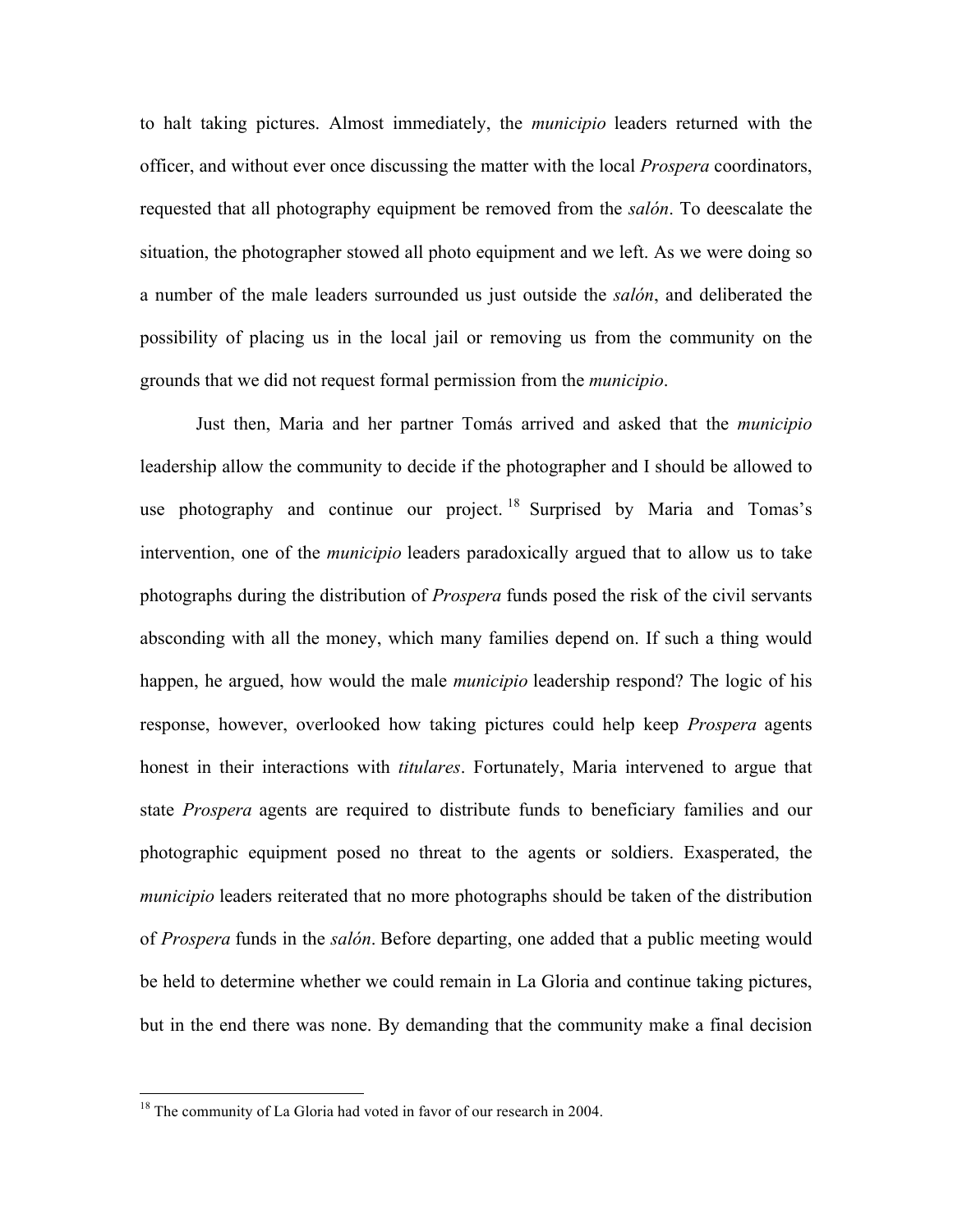to halt taking pictures. Almost immediately, the *municipio* leaders returned with the officer, and without ever once discussing the matter with the local *Prospera* coordinators, requested that all photography equipment be removed from the *salón*. To deescalate the situation, the photographer stowed all photo equipment and we left. As we were doing so a number of the male leaders surrounded us just outside the *salón*, and deliberated the possibility of placing us in the local jail or removing us from the community on the grounds that we did not request formal permission from the *municipio*.

Just then, Maria and her partner Tomás arrived and asked that the *municipio* leadership allow the community to decide if the photographer and I should be allowed to use photography and continue our project.  $^{18}$  Surprised by Maria and Tomas's intervention, one of the *municipio* leaders paradoxically argued that to allow us to take photographs during the distribution of *Prospera* funds posed the risk of the civil servants absconding with all the money, which many families depend on. If such a thing would happen, he argued, how would the male *municipio* leadership respond? The logic of his response, however, overlooked how taking pictures could help keep *Prospera* agents honest in their interactions with *titulares*. Fortunately, Maria intervened to argue that state *Prospera* agents are required to distribute funds to beneficiary families and our photographic equipment posed no threat to the agents or soldiers. Exasperated, the *municipio* leaders reiterated that no more photographs should be taken of the distribution of *Prospera* funds in the *salón*. Before departing, one added that a public meeting would be held to determine whether we could remain in La Gloria and continue taking pictures, but in the end there was none. By demanding that the community make a final decision

<sup>&</sup>lt;sup>18</sup> The community of La Gloria had voted in favor of our research in 2004.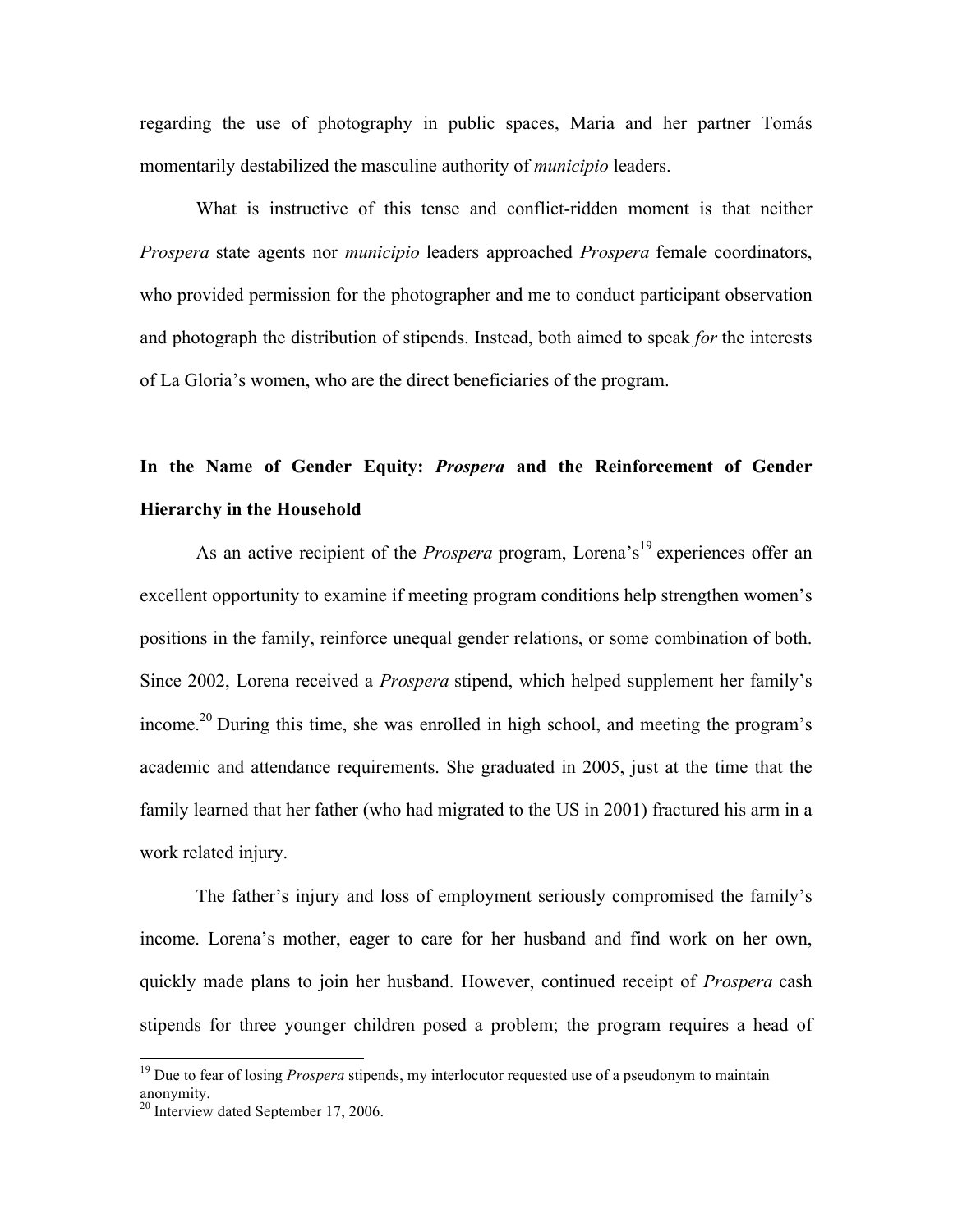regarding the use of photography in public spaces, Maria and her partner Tomás momentarily destabilized the masculine authority of *municipio* leaders.

What is instructive of this tense and conflict-ridden moment is that neither *Prospera* state agents nor *municipio* leaders approached *Prospera* female coordinators, who provided permission for the photographer and me to conduct participant observation and photograph the distribution of stipends. Instead, both aimed to speak *for* the interests of La Gloria's women, who are the direct beneficiaries of the program.

## **In the Name of Gender Equity:** *Prospera* **and the Reinforcement of Gender Hierarchy in the Household**

As an active recipient of the *Prospera* program, Lorena's<sup>19</sup> experiences offer an excellent opportunity to examine if meeting program conditions help strengthen women's positions in the family, reinforce unequal gender relations, or some combination of both. Since 2002, Lorena received a *Prospera* stipend, which helped supplement her family's income.<sup>20</sup> During this time, she was enrolled in high school, and meeting the program's academic and attendance requirements. She graduated in 2005, just at the time that the family learned that her father (who had migrated to the US in 2001) fractured his arm in a work related injury.

The father's injury and loss of employment seriously compromised the family's income. Lorena's mother, eager to care for her husband and find work on her own, quickly made plans to join her husband. However, continued receipt of *Prospera* cash stipends for three younger children posed a problem; the program requires a head of

<sup>&</sup>lt;sup>19</sup> Due to fear of losing *Prospera* stipends, my interlocutor requested use of a pseudonym to maintain anonymity.

 $20$  Interview dated September 17, 2006.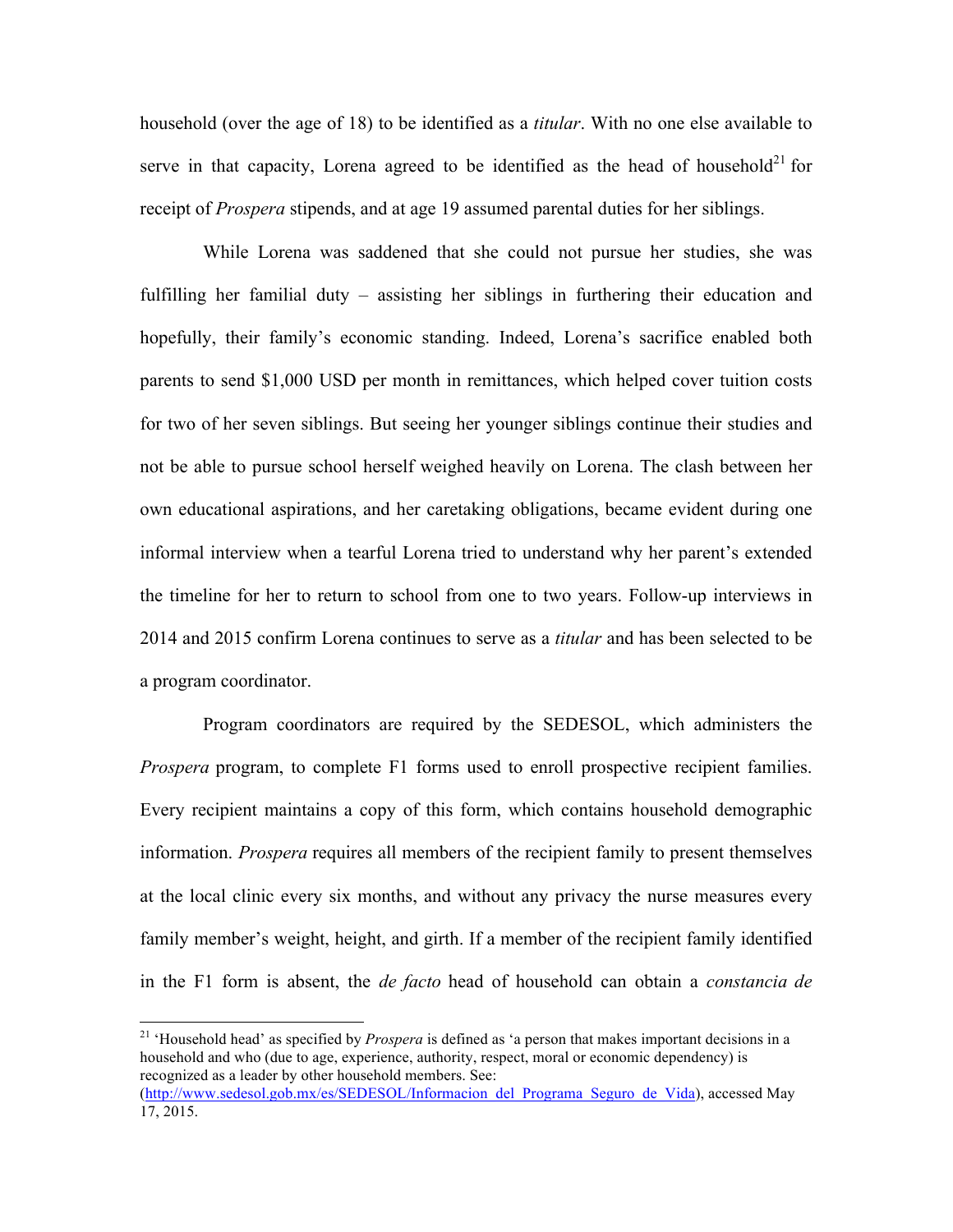household (over the age of 18) to be identified as a *titular*. With no one else available to serve in that capacity, Lorena agreed to be identified as the head of household<sup>21</sup> for receipt of *Prospera* stipends, and at age 19 assumed parental duties for her siblings.

While Lorena was saddened that she could not pursue her studies, she was fulfilling her familial duty – assisting her siblings in furthering their education and hopefully, their family's economic standing. Indeed, Lorena's sacrifice enabled both parents to send \$1,000 USD per month in remittances, which helped cover tuition costs for two of her seven siblings. But seeing her younger siblings continue their studies and not be able to pursue school herself weighed heavily on Lorena. The clash between her own educational aspirations, and her caretaking obligations, became evident during one informal interview when a tearful Lorena tried to understand why her parent's extended the timeline for her to return to school from one to two years. Follow-up interviews in 2014 and 2015 confirm Lorena continues to serve as a *titular* and has been selected to be a program coordinator.

Program coordinators are required by the SEDESOL, which administers the *Prospera* program, to complete F1 forms used to enroll prospective recipient families. Every recipient maintains a copy of this form, which contains household demographic information. *Prospera* requires all members of the recipient family to present themselves at the local clinic every six months, and without any privacy the nurse measures every family member's weight, height, and girth. If a member of the recipient family identified in the F1 form is absent, the *de facto* head of household can obtain a *constancia de* 

<sup>&</sup>lt;sup>21</sup> 'Household head' as specified by *Prospera* is defined as 'a person that makes important decisions in a household and who (due to age, experience, authority, respect, moral or economic dependency) is recognized as a leader by other household members. See: (http://www.sedesol.gob.mx/es/SEDESOL/Informacion\_del\_Programa\_Seguro\_de\_Vida), accessed May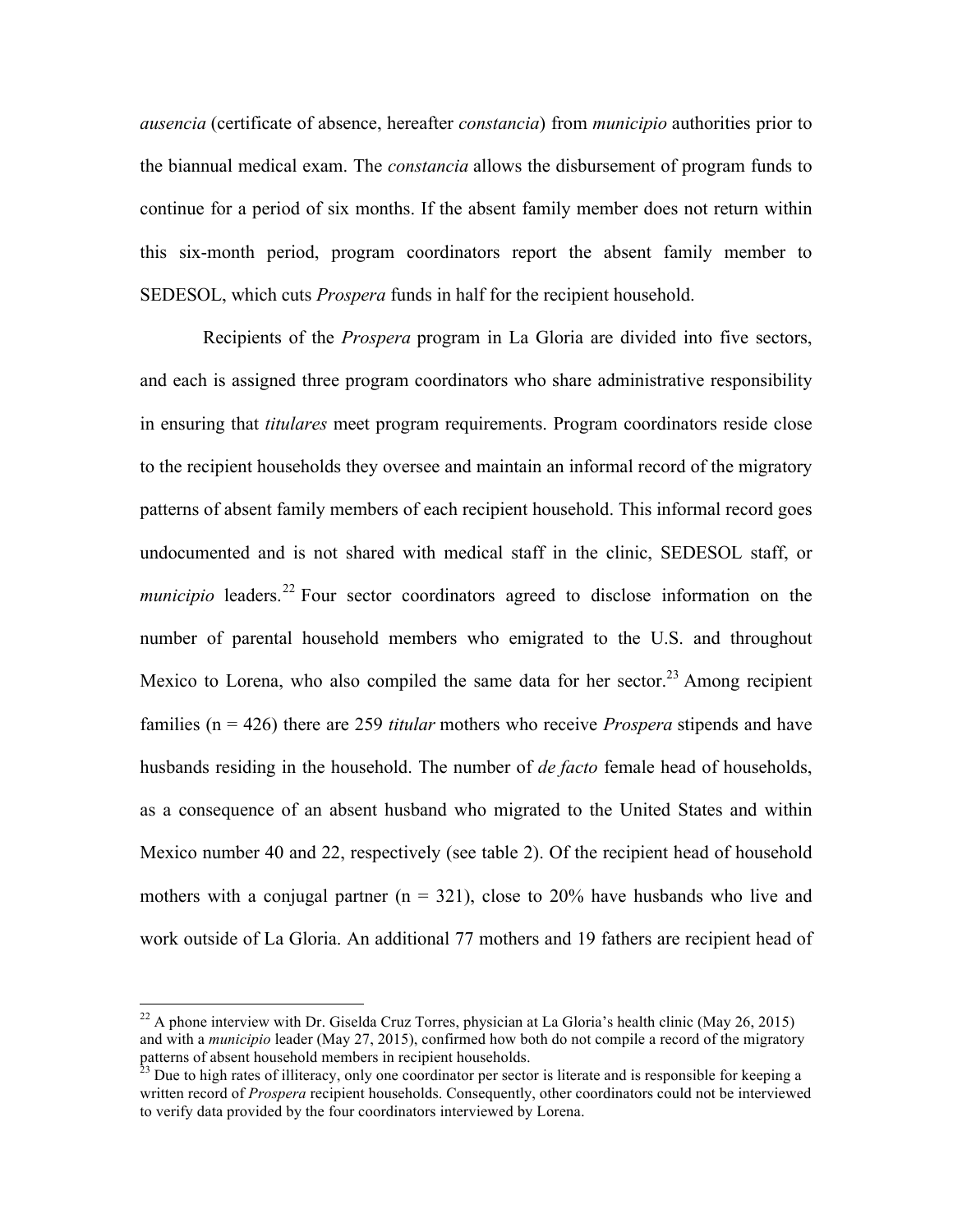*ausencia* (certificate of absence, hereafter *constancia*) from *municipio* authorities prior to the biannual medical exam. The *constancia* allows the disbursement of program funds to continue for a period of six months. If the absent family member does not return within this six-month period, program coordinators report the absent family member to SEDESOL, which cuts *Prospera* funds in half for the recipient household.

Recipients of the *Prospera* program in La Gloria are divided into five sectors, and each is assigned three program coordinators who share administrative responsibility in ensuring that *titulares* meet program requirements. Program coordinators reside close to the recipient households they oversee and maintain an informal record of the migratory patterns of absent family members of each recipient household. This informal record goes undocumented and is not shared with medical staff in the clinic, SEDESOL staff, or *municipio* leaders.<sup>22</sup> Four sector coordinators agreed to disclose information on the number of parental household members who emigrated to the U.S. and throughout Mexico to Lorena, who also compiled the same data for her sector.<sup>23</sup> Among recipient families (n = 426) there are 259 *titular* mothers who receive *Prospera* stipends and have husbands residing in the household. The number of *de facto* female head of households, as a consequence of an absent husband who migrated to the United States and within Mexico number 40 and 22, respectively (see table 2). Of the recipient head of household mothers with a conjugal partner  $(n = 321)$ , close to 20% have husbands who live and work outside of La Gloria. An additional 77 mothers and 19 fathers are recipient head of

<sup>&</sup>lt;sup>22</sup> A phone interview with Dr. Giselda Cruz Torres, physician at La Gloria's health clinic (May 26, 2015) and with a *municipio* leader (May 27, 2015), confirmed how both do not compile a record of the migratory patterns of absent household members in recipient households.

 $^{23}$  Due to high rates of illiteracy, only one coordinator per sector is literate and is responsible for keeping a written record of *Prospera* recipient households. Consequently, other coordinators could not be interviewed to verify data provided by the four coordinators interviewed by Lorena.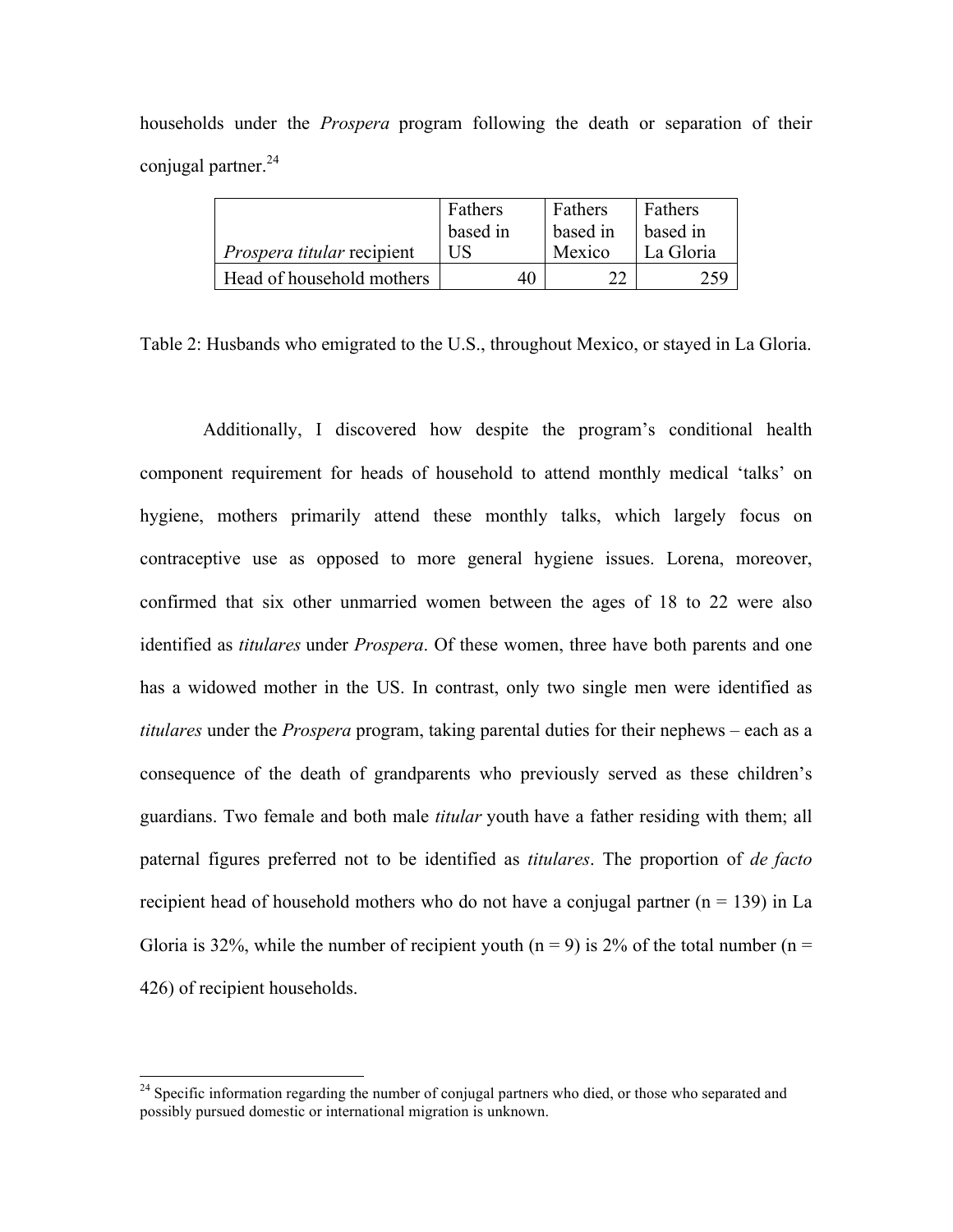| households under the <i>Prospera</i> program following the death or separation of their |  |  |  |  |  |  |
|-----------------------------------------------------------------------------------------|--|--|--|--|--|--|
| conjugal partner. $^{24}$                                                               |  |  |  |  |  |  |

|                                   | Fathers  | Fathers  | Fathers   |
|-----------------------------------|----------|----------|-----------|
|                                   | based in | based in | based in  |
| <i>Prospera titular</i> recipient | НS       | Mexico   | La Gloria |
| Head of household mothers         | 40       | າາ       | 259       |

Table 2: Husbands who emigrated to the U.S., throughout Mexico, or stayed in La Gloria.

Additionally, I discovered how despite the program's conditional health component requirement for heads of household to attend monthly medical 'talks' on hygiene, mothers primarily attend these monthly talks, which largely focus on contraceptive use as opposed to more general hygiene issues. Lorena, moreover, confirmed that six other unmarried women between the ages of 18 to 22 were also identified as *titulares* under *Prospera*. Of these women, three have both parents and one has a widowed mother in the US. In contrast, only two single men were identified as *titulares* under the *Prospera* program, taking parental duties for their nephews – each as a consequence of the death of grandparents who previously served as these children's guardians. Two female and both male *titular* youth have a father residing with them; all paternal figures preferred not to be identified as *titulares*. The proportion of *de facto*  recipient head of household mothers who do not have a conjugal partner  $(n = 139)$  in La Gloria is 32%, while the number of recipient youth ( $n = 9$ ) is 2% of the total number ( $n =$ 426) of recipient households.

 $^{24}$  Specific information regarding the number of conjugal partners who died, or those who separated and possibly pursued domestic or international migration is unknown.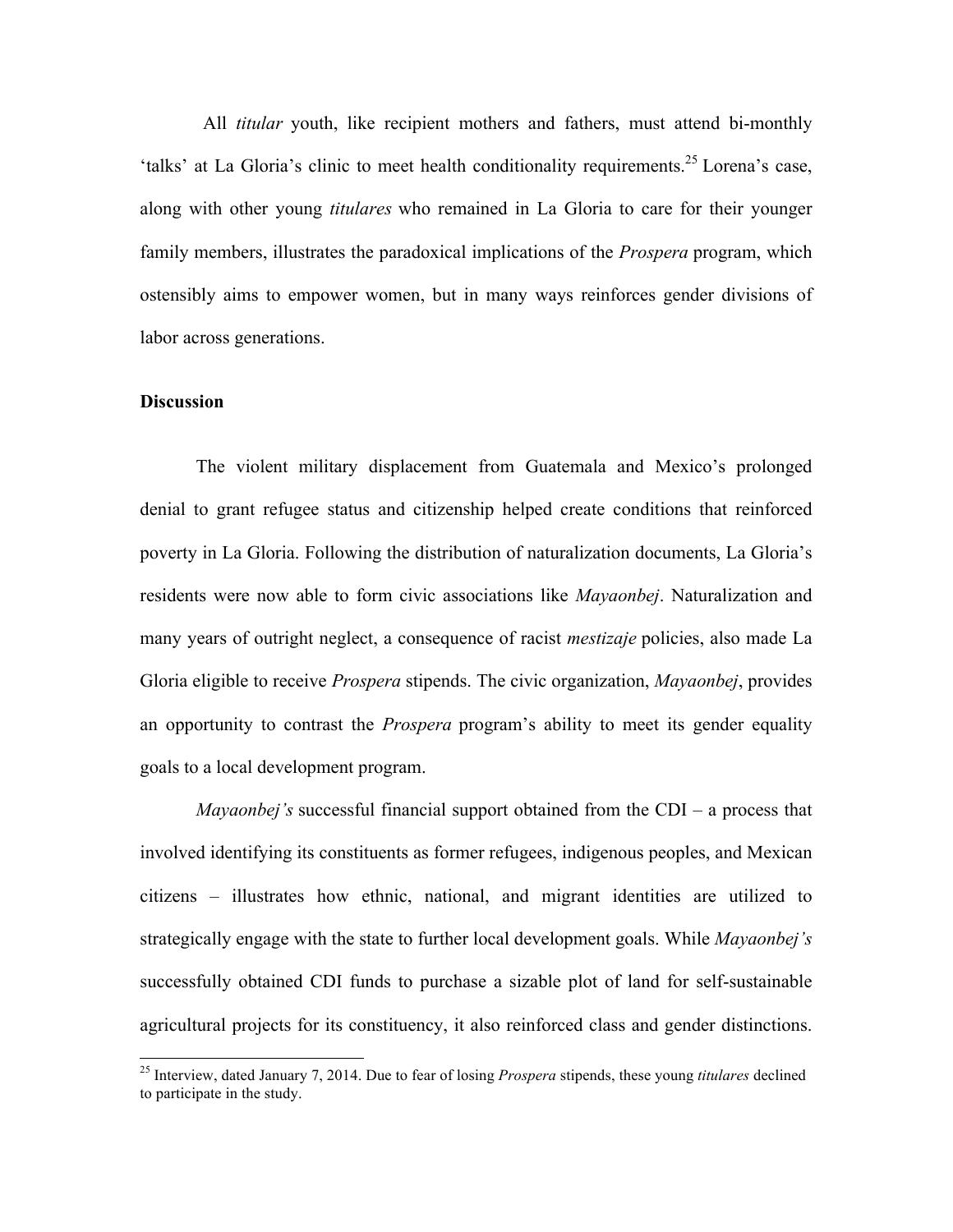All *titular* youth, like recipient mothers and fathers, must attend bi-monthly 'talks' at La Gloria's clinic to meet health conditionality requirements.<sup>25</sup> Lorena's case, along with other young *titulares* who remained in La Gloria to care for their younger family members, illustrates the paradoxical implications of the *Prospera* program, which ostensibly aims to empower women, but in many ways reinforces gender divisions of labor across generations.

#### **Discussion**

The violent military displacement from Guatemala and Mexico's prolonged denial to grant refugee status and citizenship helped create conditions that reinforced poverty in La Gloria. Following the distribution of naturalization documents, La Gloria's residents were now able to form civic associations like *Mayaonbej*. Naturalization and many years of outright neglect, a consequence of racist *mestizaje* policies, also made La Gloria eligible to receive *Prospera* stipends. The civic organization, *Mayaonbej*, provides an opportunity to contrast the *Prospera* program's ability to meet its gender equality goals to a local development program.

*Mayaonbej's* successful financial support obtained from the CDI – a process that involved identifying its constituents as former refugees, indigenous peoples, and Mexican citizens – illustrates how ethnic, national, and migrant identities are utilized to strategically engage with the state to further local development goals. While *Mayaonbej's*  successfully obtained CDI funds to purchase a sizable plot of land for self-sustainable agricultural projects for its constituency, it also reinforced class and gender distinctions.

 <sup>25</sup> Interview, dated January 7, 2014. Due to fear of losing *Prospera* stipends, these young *titulares* declined to participate in the study.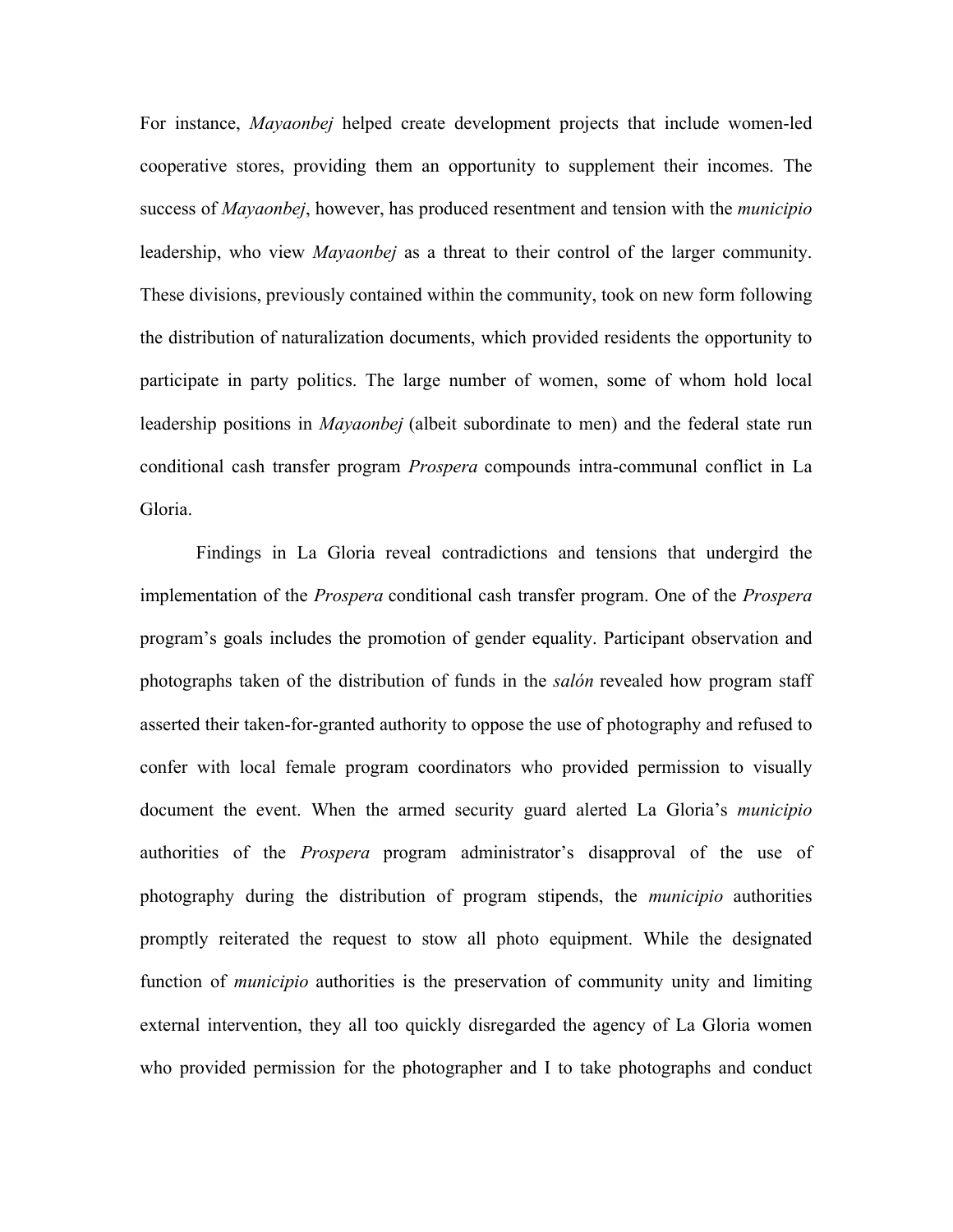For instance, *Mayaonbej* helped create development projects that include women-led cooperative stores, providing them an opportunity to supplement their incomes. The success of *Mayaonbej*, however, has produced resentment and tension with the *municipio* leadership, who view *Mayaonbej* as a threat to their control of the larger community. These divisions, previously contained within the community, took on new form following the distribution of naturalization documents, which provided residents the opportunity to participate in party politics. The large number of women, some of whom hold local leadership positions in *Mayaonbej* (albeit subordinate to men) and the federal state run conditional cash transfer program *Prospera* compounds intra-communal conflict in La Gloria.

Findings in La Gloria reveal contradictions and tensions that undergird the implementation of the *Prospera* conditional cash transfer program. One of the *Prospera*  program's goals includes the promotion of gender equality. Participant observation and photographs taken of the distribution of funds in the *salón* revealed how program staff asserted their taken-for-granted authority to oppose the use of photography and refused to confer with local female program coordinators who provided permission to visually document the event. When the armed security guard alerted La Gloria's *municipio*  authorities of the *Prospera* program administrator's disapproval of the use of photography during the distribution of program stipends, the *municipio* authorities promptly reiterated the request to stow all photo equipment. While the designated function of *municipio* authorities is the preservation of community unity and limiting external intervention, they all too quickly disregarded the agency of La Gloria women who provided permission for the photographer and I to take photographs and conduct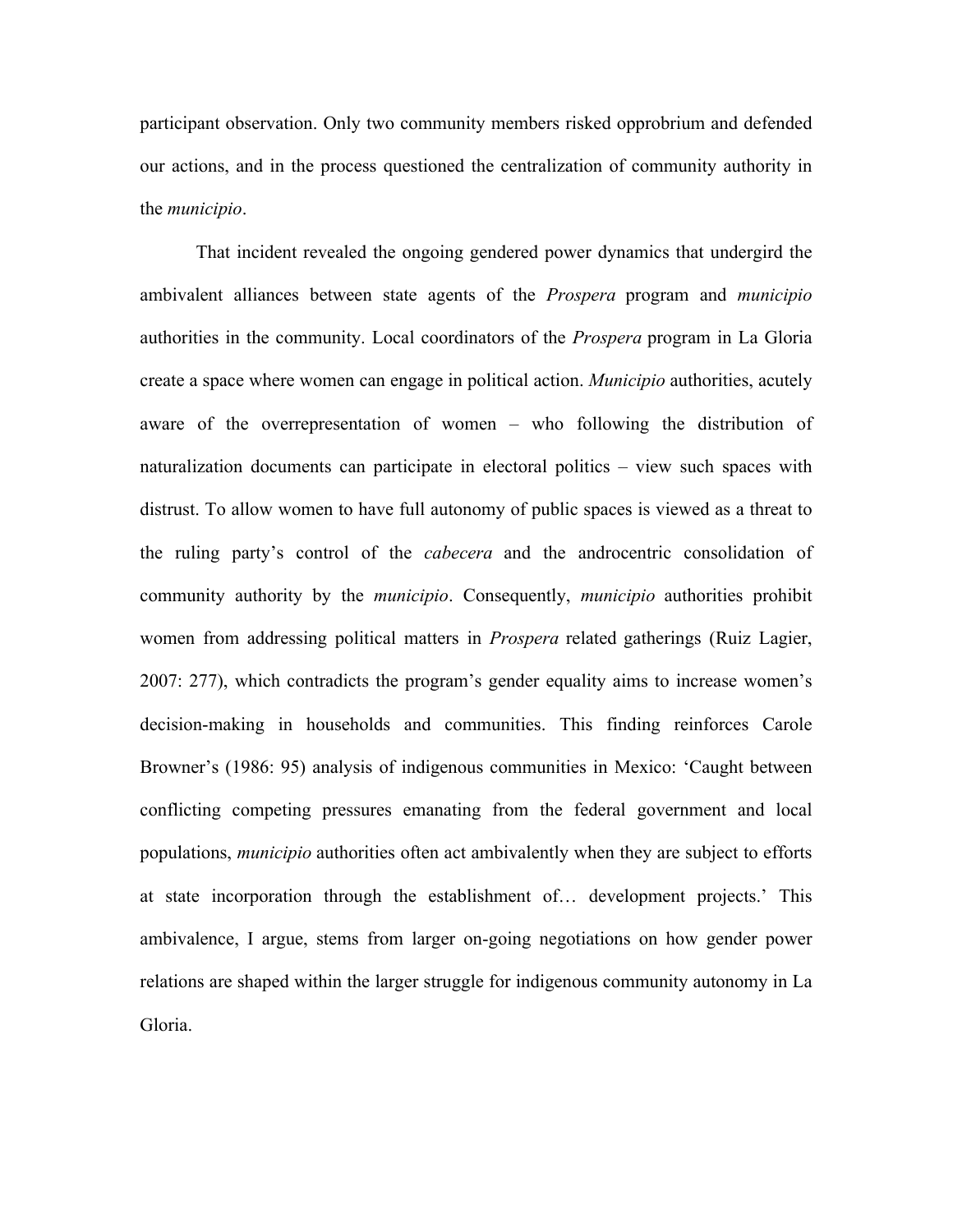participant observation. Only two community members risked opprobrium and defended our actions, and in the process questioned the centralization of community authority in the *municipio*.

That incident revealed the ongoing gendered power dynamics that undergird the ambivalent alliances between state agents of the *Prospera* program and *municipio*  authorities in the community. Local coordinators of the *Prospera* program in La Gloria create a space where women can engage in political action. *Municipio* authorities, acutely aware of the overrepresentation of women – who following the distribution of naturalization documents can participate in electoral politics – view such spaces with distrust. To allow women to have full autonomy of public spaces is viewed as a threat to the ruling party's control of the *cabecera* and the androcentric consolidation of community authority by the *municipio*. Consequently, *municipio* authorities prohibit women from addressing political matters in *Prospera* related gatherings (Ruiz Lagier, 2007: 277), which contradicts the program's gender equality aims to increase women's decision-making in households and communities. This finding reinforces Carole Browner's (1986: 95) analysis of indigenous communities in Mexico: 'Caught between conflicting competing pressures emanating from the federal government and local populations, *municipio* authorities often act ambivalently when they are subject to efforts at state incorporation through the establishment of… development projects.' This ambivalence, I argue, stems from larger on-going negotiations on how gender power relations are shaped within the larger struggle for indigenous community autonomy in La Gloria.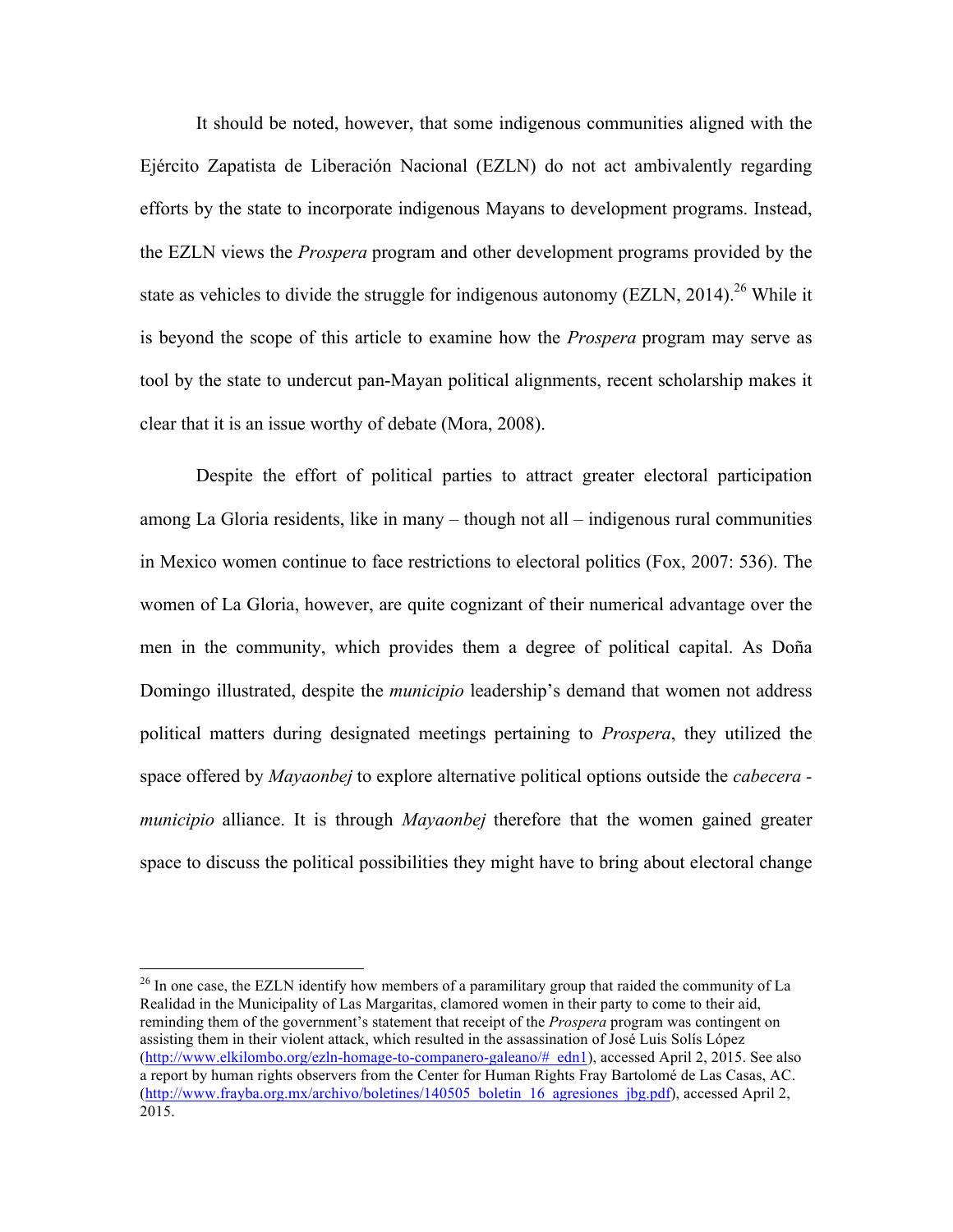It should be noted, however, that some indigenous communities aligned with the Ejército Zapatista de Liberación Nacional (EZLN) do not act ambivalently regarding efforts by the state to incorporate indigenous Mayans to development programs. Instead, the EZLN views the *Prospera* program and other development programs provided by the state as vehicles to divide the struggle for indigenous autonomy (EZLN, 2014).<sup>26</sup> While it is beyond the scope of this article to examine how the *Prospera* program may serve as tool by the state to undercut pan-Mayan political alignments, recent scholarship makes it clear that it is an issue worthy of debate (Mora, 2008).

Despite the effort of political parties to attract greater electoral participation among La Gloria residents, like in many – though not all – indigenous rural communities in Mexico women continue to face restrictions to electoral politics (Fox, 2007: 536). The women of La Gloria, however, are quite cognizant of their numerical advantage over the men in the community, which provides them a degree of political capital. As Doña Domingo illustrated, despite the *municipio* leadership's demand that women not address political matters during designated meetings pertaining to *Prospera*, they utilized the space offered by *Mayaonbej* to explore alternative political options outside the *cabecera municipio* alliance. It is through *Mayaonbej* therefore that the women gained greater space to discuss the political possibilities they might have to bring about electoral change

<sup>&</sup>lt;sup>26</sup> In one case, the EZLN identify how members of a paramilitary group that raided the community of La Realidad in the Municipality of Las Margaritas, clamored women in their party to come to their aid, reminding them of the government's statement that receipt of the *Prospera* program was contingent on assisting them in their violent attack, which resulted in the assassination of José Luis Solís López (http://www.elkilombo.org/ezln-homage-to-companero-galeano/#\_edn1), accessed April 2, 2015. See also a report by human rights observers from the Center for Human Rights Fray Bartolomé de Las Casas, AC. (http://www.frayba.org.mx/archivo/boletines/140505\_boletin\_16\_agresiones\_jbg.pdf), accessed April 2, 2015.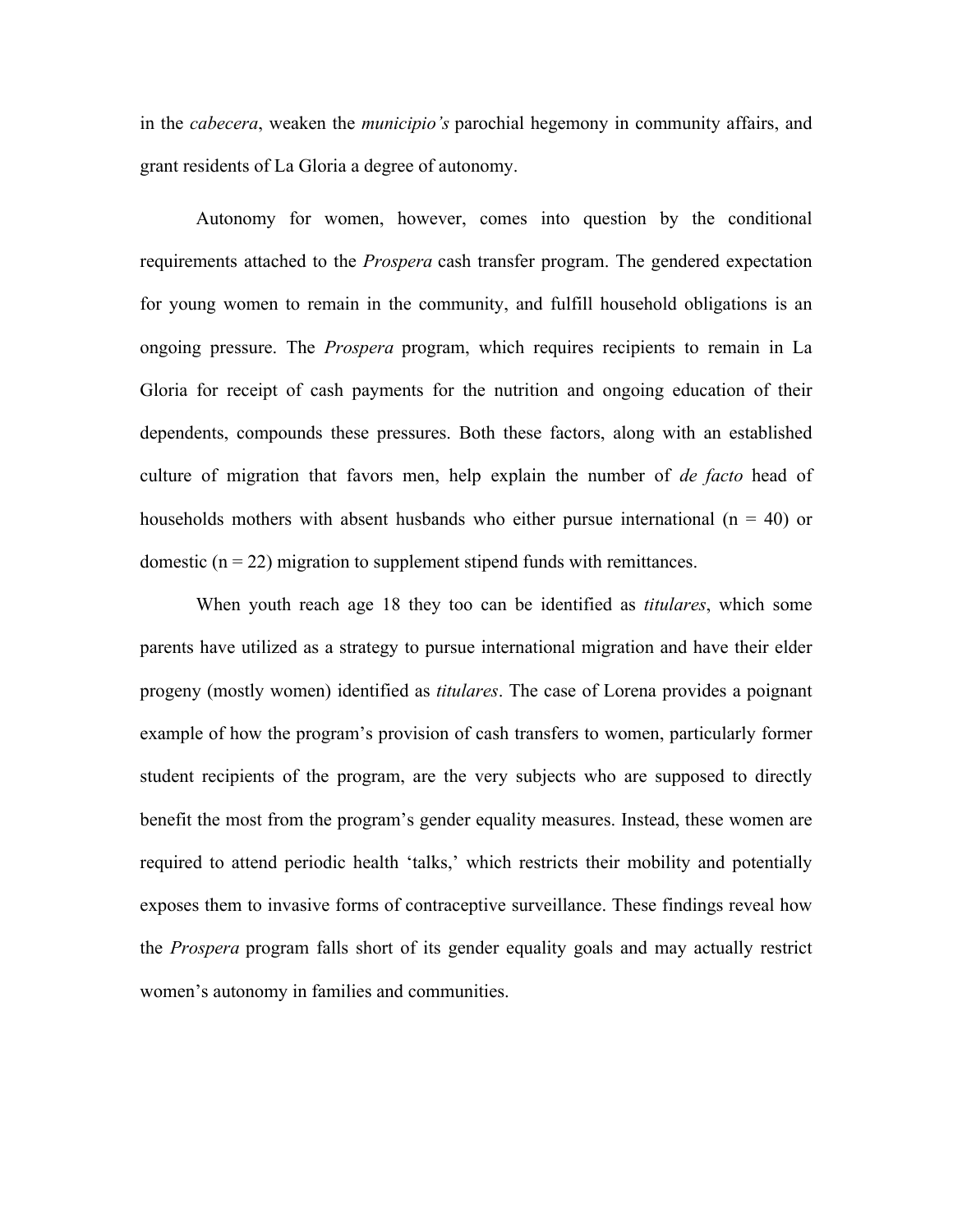in the *cabecera*, weaken the *municipio's* parochial hegemony in community affairs, and grant residents of La Gloria a degree of autonomy.

Autonomy for women, however, comes into question by the conditional requirements attached to the *Prospera* cash transfer program. The gendered expectation for young women to remain in the community, and fulfill household obligations is an ongoing pressure. The *Prospera* program, which requires recipients to remain in La Gloria for receipt of cash payments for the nutrition and ongoing education of their dependents, compounds these pressures. Both these factors, along with an established culture of migration that favors men, help explain the number of *de facto* head of households mothers with absent husbands who either pursue international  $(n = 40)$  or domestic  $(n = 22)$  migration to supplement stipend funds with remittances.

When youth reach age 18 they too can be identified as *titulares*, which some parents have utilized as a strategy to pursue international migration and have their elder progeny (mostly women) identified as *titulares*. The case of Lorena provides a poignant example of how the program's provision of cash transfers to women, particularly former student recipients of the program, are the very subjects who are supposed to directly benefit the most from the program's gender equality measures. Instead, these women are required to attend periodic health 'talks,' which restricts their mobility and potentially exposes them to invasive forms of contraceptive surveillance. These findings reveal how the *Prospera* program falls short of its gender equality goals and may actually restrict women's autonomy in families and communities.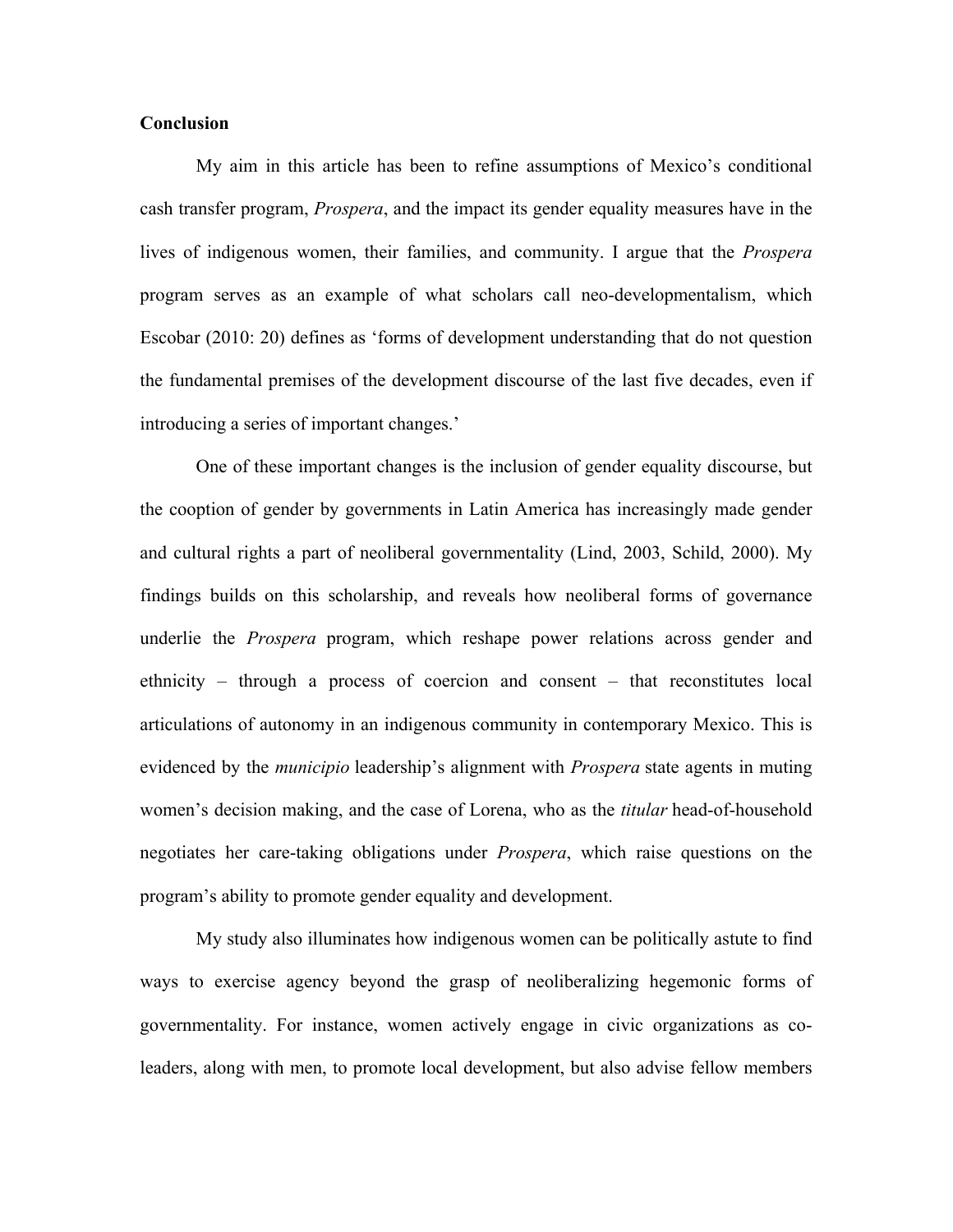#### **Conclusion**

My aim in this article has been to refine assumptions of Mexico's conditional cash transfer program, *Prospera*, and the impact its gender equality measures have in the lives of indigenous women, their families, and community. I argue that the *Prospera*  program serves as an example of what scholars call neo-developmentalism, which Escobar (2010: 20) defines as 'forms of development understanding that do not question the fundamental premises of the development discourse of the last five decades, even if introducing a series of important changes.'

One of these important changes is the inclusion of gender equality discourse, but the cooption of gender by governments in Latin America has increasingly made gender and cultural rights a part of neoliberal governmentality (Lind, 2003, Schild, 2000). My findings builds on this scholarship, and reveals how neoliberal forms of governance underlie the *Prospera* program, which reshape power relations across gender and ethnicity – through a process of coercion and consent – that reconstitutes local articulations of autonomy in an indigenous community in contemporary Mexico. This is evidenced by the *municipio* leadership's alignment with *Prospera* state agents in muting women's decision making, and the case of Lorena, who as the *titular* head-of-household negotiates her care-taking obligations under *Prospera*, which raise questions on the program's ability to promote gender equality and development.

My study also illuminates how indigenous women can be politically astute to find ways to exercise agency beyond the grasp of neoliberalizing hegemonic forms of governmentality. For instance, women actively engage in civic organizations as coleaders, along with men, to promote local development, but also advise fellow members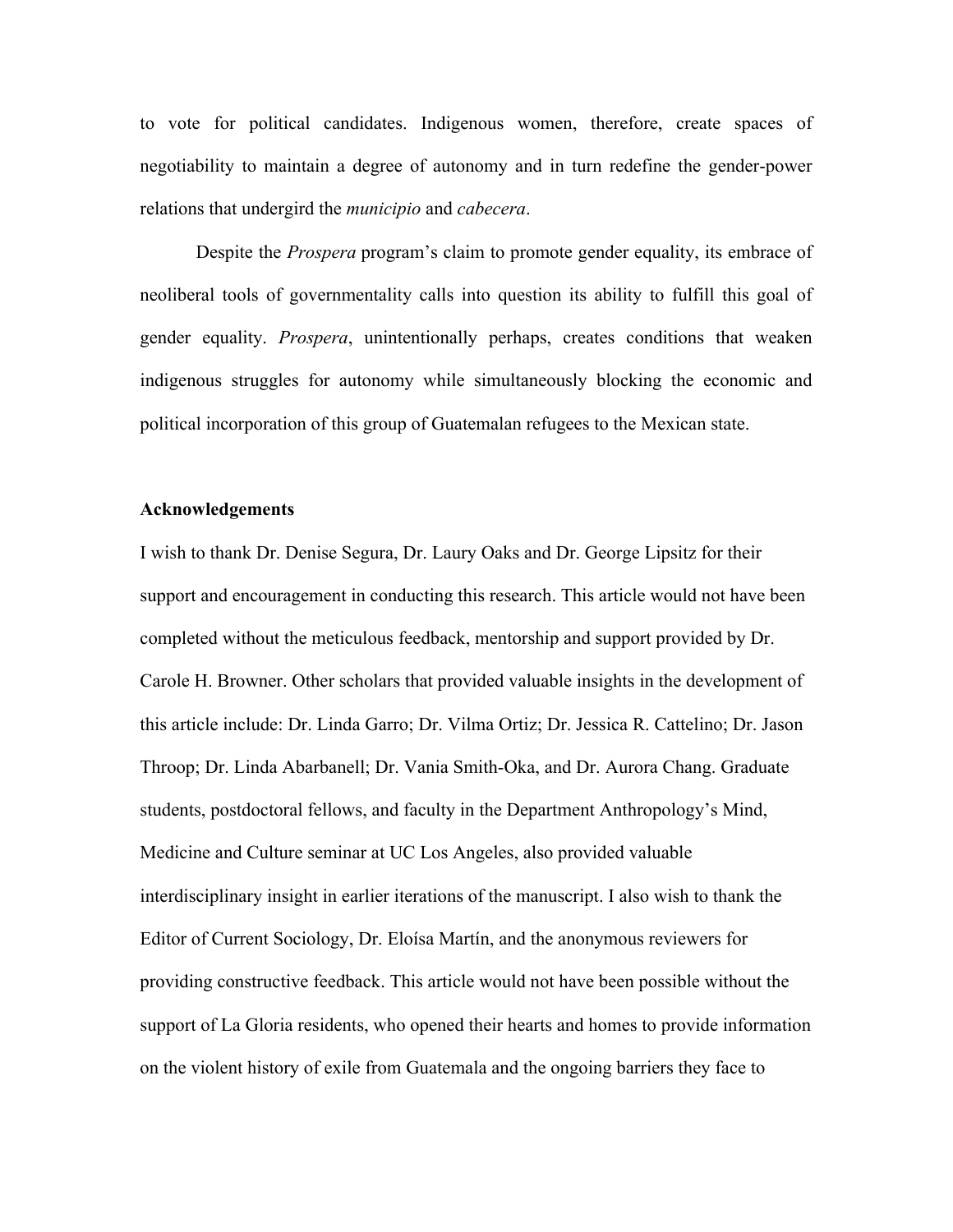to vote for political candidates. Indigenous women, therefore, create spaces of negotiability to maintain a degree of autonomy and in turn redefine the gender-power relations that undergird the *municipio* and *cabecera*.

Despite the *Prospera* program's claim to promote gender equality, its embrace of neoliberal tools of governmentality calls into question its ability to fulfill this goal of gender equality. *Prospera*, unintentionally perhaps, creates conditions that weaken indigenous struggles for autonomy while simultaneously blocking the economic and political incorporation of this group of Guatemalan refugees to the Mexican state.

#### **Acknowledgements**

I wish to thank Dr. Denise Segura, Dr. Laury Oaks and Dr. George Lipsitz for their support and encouragement in conducting this research. This article would not have been completed without the meticulous feedback, mentorship and support provided by Dr. Carole H. Browner. Other scholars that provided valuable insights in the development of this article include: Dr. Linda Garro; Dr. Vilma Ortiz; Dr. Jessica R. Cattelino; Dr. Jason Throop; Dr. Linda Abarbanell; Dr. Vania Smith-Oka, and Dr. Aurora Chang. Graduate students, postdoctoral fellows, and faculty in the Department Anthropology's Mind, Medicine and Culture seminar at UC Los Angeles, also provided valuable interdisciplinary insight in earlier iterations of the manuscript. I also wish to thank the Editor of Current Sociology, Dr. Eloísa Martín, and the anonymous reviewers for providing constructive feedback. This article would not have been possible without the support of La Gloria residents, who opened their hearts and homes to provide information on the violent history of exile from Guatemala and the ongoing barriers they face to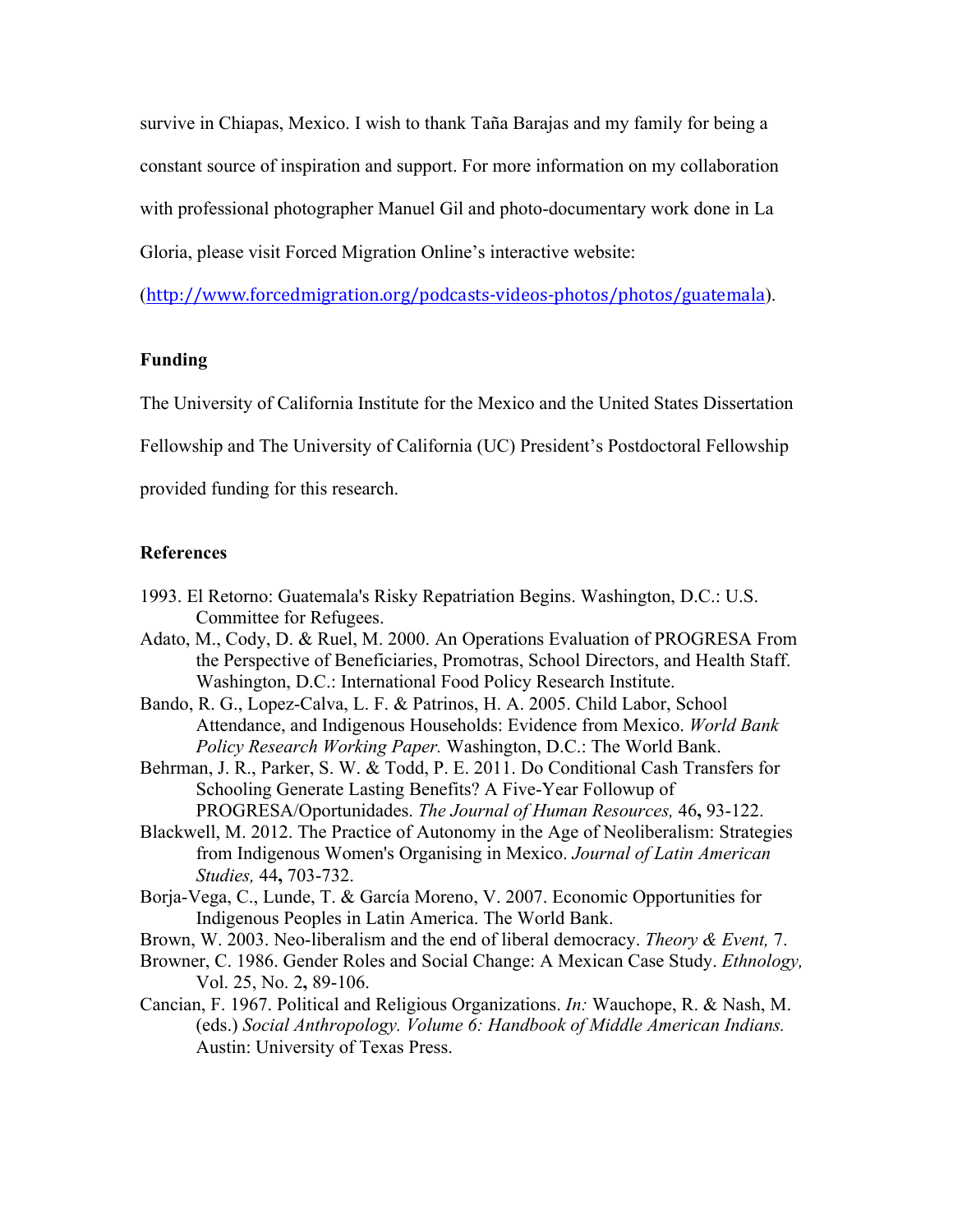survive in Chiapas, Mexico. I wish to thank Taña Barajas and my family for being a constant source of inspiration and support. For more information on my collaboration with professional photographer Manuel Gil and photo-documentary work done in La Gloria, please visit Forced Migration Online's interactive website:

(http://www.forcedmigration.org/podcasts-videos-photos/photos/guatemala).

### **Funding**

The University of California Institute for the Mexico and the United States Dissertation

Fellowship and The University of California (UC) President's Postdoctoral Fellowship

provided funding for this research.

### **References**

- 1993. El Retorno: Guatemala's Risky Repatriation Begins. Washington, D.C.: U.S. Committee for Refugees.
- Adato, M., Cody, D. & Ruel, M. 2000. An Operations Evaluation of PROGRESA From the Perspective of Beneficiaries, Promotras, School Directors, and Health Staff. Washington, D.C.: International Food Policy Research Institute.
- Bando, R. G., Lopez-Calva, L. F. & Patrinos, H. A. 2005. Child Labor, School Attendance, and Indigenous Households: Evidence from Mexico. *World Bank Policy Research Working Paper.* Washington, D.C.: The World Bank.
- Behrman, J. R., Parker, S. W. & Todd, P. E. 2011. Do Conditional Cash Transfers for Schooling Generate Lasting Benefits? A Five-Year Followup of PROGRESA/Oportunidades. *The Journal of Human Resources,* 46**,** 93-122.
- Blackwell, M. 2012. The Practice of Autonomy in the Age of Neoliberalism: Strategies from Indigenous Women's Organising in Mexico. *Journal of Latin American Studies,* 44**,** 703-732.
- Borja-Vega, C., Lunde, T. & García Moreno, V. 2007. Economic Opportunities for Indigenous Peoples in Latin America. The World Bank.
- Brown, W. 2003. Neo-liberalism and the end of liberal democracy. *Theory & Event,* 7.
- Browner, C. 1986. Gender Roles and Social Change: A Mexican Case Study. *Ethnology,* Vol. 25, No. 2**,** 89-106.
- Cancian, F. 1967. Political and Religious Organizations. *In:* Wauchope, R. & Nash, M. (eds.) *Social Anthropology. Volume 6: Handbook of Middle American Indians.* Austin: University of Texas Press.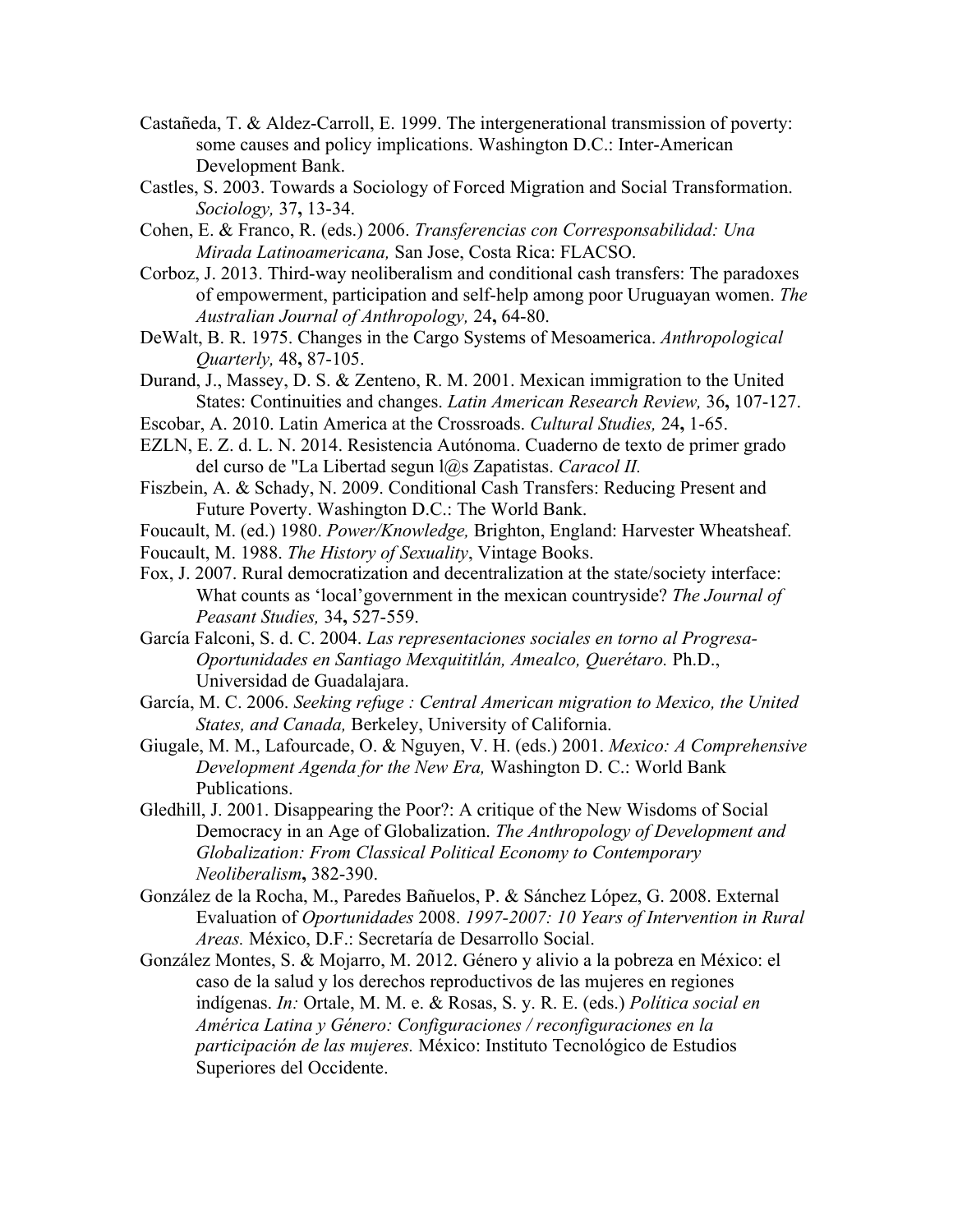- Castañeda, T. & Aldez-Carroll, E. 1999. The intergenerational transmission of poverty: some causes and policy implications. Washington D.C.: Inter-American Development Bank.
- Castles, S. 2003. Towards a Sociology of Forced Migration and Social Transformation. *Sociology,* 37**,** 13-34.
- Cohen, E. & Franco, R. (eds.) 2006. *Transferencias con Corresponsabilidad: Una Mirada Latinoamericana,* San Jose, Costa Rica: FLACSO.
- Corboz, J. 2013. Third-way neoliberalism and conditional cash transfers: The paradoxes of empowerment, participation and self-help among poor Uruguayan women. *The Australian Journal of Anthropology,* 24**,** 64-80.
- DeWalt, B. R. 1975. Changes in the Cargo Systems of Mesoamerica. *Anthropological Quarterly,* 48**,** 87-105.
- Durand, J., Massey, D. S. & Zenteno, R. M. 2001. Mexican immigration to the United States: Continuities and changes. *Latin American Research Review,* 36**,** 107-127.
- Escobar, A. 2010. Latin America at the Crossroads. *Cultural Studies,* 24**,** 1-65.
- EZLN, E. Z. d. L. N. 2014. Resistencia Autónoma. Cuaderno de texto de primer grado del curso de "La Libertad segun l@s Zapatistas. *Caracol II.*
- Fiszbein, A. & Schady, N. 2009. Conditional Cash Transfers: Reducing Present and Future Poverty. Washington D.C.: The World Bank.
- Foucault, M. (ed.) 1980. *Power/Knowledge,* Brighton, England: Harvester Wheatsheaf.
- Foucault, M. 1988. *The History of Sexuality*, Vintage Books.
- Fox, J. 2007. Rural democratization and decentralization at the state/society interface: What counts as 'local'government in the mexican countryside? *The Journal of Peasant Studies,* 34**,** 527-559.
- García Falconi, S. d. C. 2004. *Las representaciones sociales en torno al Progresa-Oportunidades en Santiago Mexquititlán, Amealco, Querétaro.* Ph.D., Universidad de Guadalajara.
- García, M. C. 2006. *Seeking refuge : Central American migration to Mexico, the United States, and Canada,* Berkeley, University of California.
- Giugale, M. M., Lafourcade, O. & Nguyen, V. H. (eds.) 2001. *Mexico: A Comprehensive Development Agenda for the New Era,* Washington D. C.: World Bank Publications.
- Gledhill, J. 2001. Disappearing the Poor?: A critique of the New Wisdoms of Social Democracy in an Age of Globalization. *The Anthropology of Development and Globalization: From Classical Political Economy to Contemporary Neoliberalism***,** 382-390.
- González de la Rocha, M., Paredes Bañuelos, P. & Sánchez López, G. 2008. External Evaluation of *Oportunidades* 2008. *1997-2007: 10 Years of Intervention in Rural Areas.* México, D.F.: Secretaría de Desarrollo Social.
- González Montes, S. & Mojarro, M. 2012. Género y alivio a la pobreza en México: el caso de la salud y los derechos reproductivos de las mujeres en regiones indígenas. *In:* Ortale, M. M. e. & Rosas, S. y. R. E. (eds.) *Política social en América Latina y Género: Configuraciones / reconfiguraciones en la participación de las mujeres.* México: Instituto Tecnológico de Estudios Superiores del Occidente.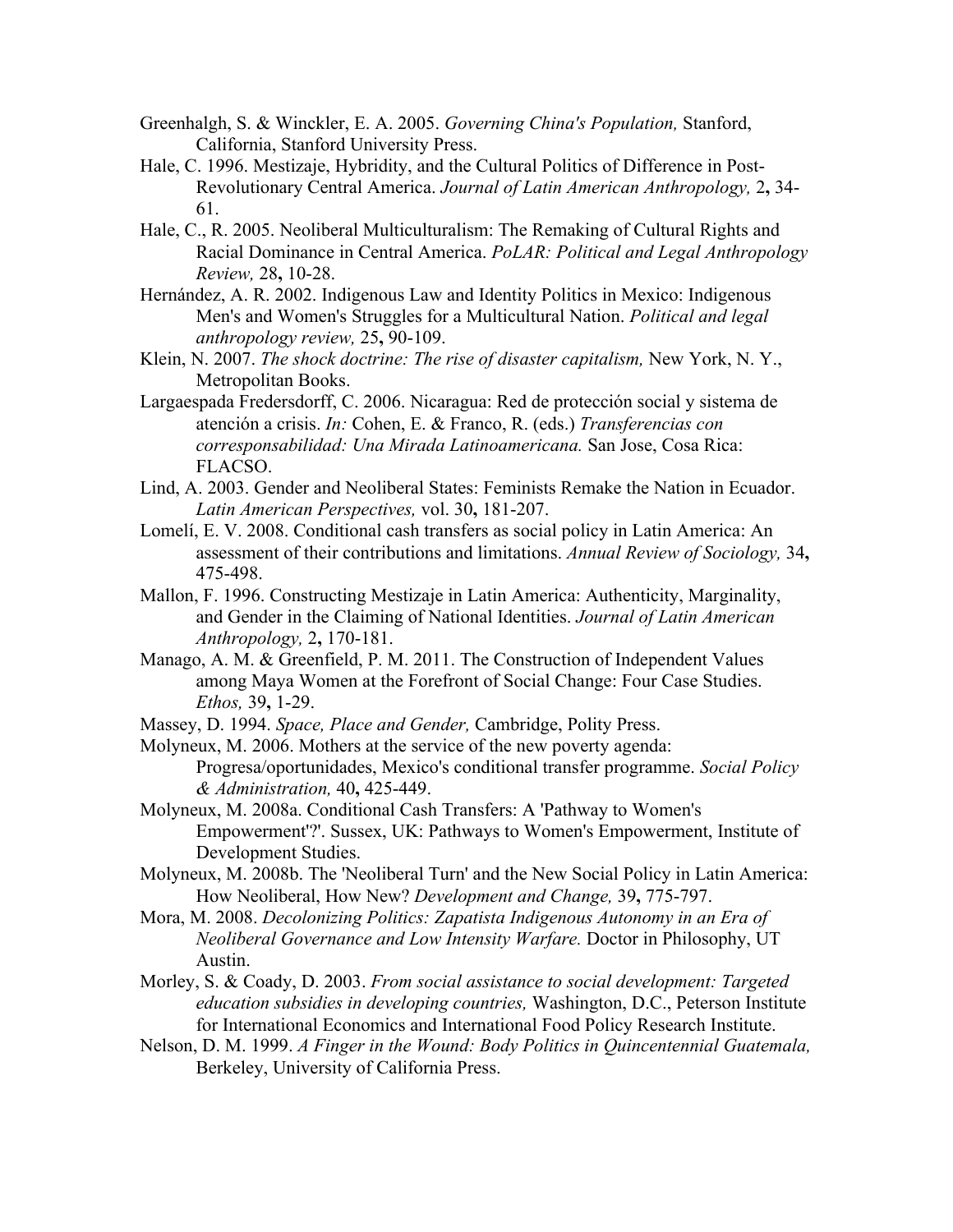- Greenhalgh, S. & Winckler, E. A. 2005. *Governing China's Population,* Stanford, California, Stanford University Press.
- Hale, C. 1996. Mestizaje, Hybridity, and the Cultural Politics of Difference in Post-Revolutionary Central America. *Journal of Latin American Anthropology,* 2**,** 34- 61.
- Hale, C., R. 2005. Neoliberal Multiculturalism: The Remaking of Cultural Rights and Racial Dominance in Central America. *PoLAR: Political and Legal Anthropology Review,* 28**,** 10-28.
- Hernández, A. R. 2002. Indigenous Law and Identity Politics in Mexico: Indigenous Men's and Women's Struggles for a Multicultural Nation. *Political and legal anthropology review,* 25**,** 90-109.
- Klein, N. 2007. *The shock doctrine: The rise of disaster capitalism,* New York, N. Y., Metropolitan Books.
- Largaespada Fredersdorff, C. 2006. Nicaragua: Red de protección social y sistema de atención a crisis. *In:* Cohen, E. & Franco, R. (eds.) *Transferencias con corresponsabilidad: Una Mirada Latinoamericana.* San Jose, Cosa Rica: FLACSO.
- Lind, A. 2003. Gender and Neoliberal States: Feminists Remake the Nation in Ecuador. *Latin American Perspectives,* vol. 30**,** 181-207.
- Lomelí, E. V. 2008. Conditional cash transfers as social policy in Latin America: An assessment of their contributions and limitations. *Annual Review of Sociology,* 34**,** 475-498.
- Mallon, F. 1996. Constructing Mestizaje in Latin America: Authenticity, Marginality, and Gender in the Claiming of National Identities. *Journal of Latin American Anthropology,* 2**,** 170-181.
- Manago, A. M. & Greenfield, P. M. 2011. The Construction of Independent Values among Maya Women at the Forefront of Social Change: Four Case Studies. *Ethos,* 39**,** 1-29.
- Massey, D. 1994. *Space, Place and Gender,* Cambridge, Polity Press.
- Molyneux, M. 2006. Mothers at the service of the new poverty agenda: Progresa/oportunidades, Mexico's conditional transfer programme. *Social Policy & Administration,* 40**,** 425-449.
- Molyneux, M. 2008a. Conditional Cash Transfers: A 'Pathway to Women's Empowerment'?'. Sussex, UK: Pathways to Women's Empowerment, Institute of Development Studies.
- Molyneux, M. 2008b. The 'Neoliberal Turn' and the New Social Policy in Latin America: How Neoliberal, How New? *Development and Change,* 39**,** 775-797.
- Mora, M. 2008. *Decolonizing Politics: Zapatista Indigenous Autonomy in an Era of Neoliberal Governance and Low Intensity Warfare.* Doctor in Philosophy, UT Austin.
- Morley, S. & Coady, D. 2003. *From social assistance to social development: Targeted education subsidies in developing countries,* Washington, D.C., Peterson Institute for International Economics and International Food Policy Research Institute.
- Nelson, D. M. 1999. *A Finger in the Wound: Body Politics in Quincentennial Guatemala,*  Berkeley, University of California Press.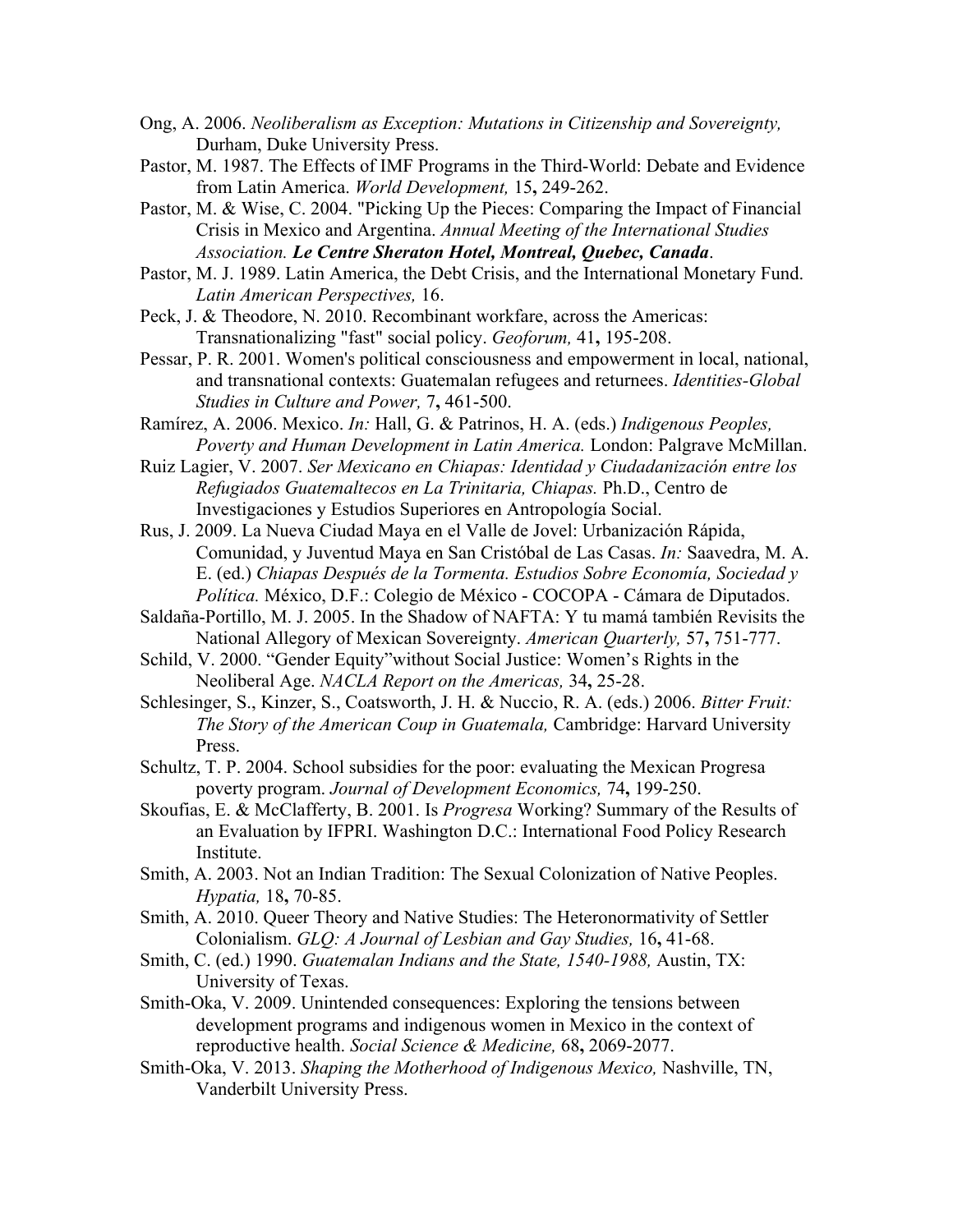- Ong, A. 2006. *Neoliberalism as Exception: Mutations in Citizenship and Sovereignty,*  Durham, Duke University Press.
- Pastor, M. 1987. The Effects of IMF Programs in the Third-World: Debate and Evidence from Latin America. *World Development,* 15**,** 249-262.

Pastor, M. & Wise, C. 2004. "Picking Up the Pieces: Comparing the Impact of Financial Crisis in Mexico and Argentina. *Annual Meeting of the International Studies Association. Le Centre Sheraton Hotel, Montreal, Quebec, Canada*.

Pastor, M. J. 1989. Latin America, the Debt Crisis, and the International Monetary Fund. *Latin American Perspectives,* 16.

Peck, J. & Theodore, N. 2010. Recombinant workfare, across the Americas: Transnationalizing "fast" social policy. *Geoforum,* 41**,** 195-208.

Pessar, P. R. 2001. Women's political consciousness and empowerment in local, national, and transnational contexts: Guatemalan refugees and returnees. *Identities-Global Studies in Culture and Power,* 7**,** 461-500.

Ramírez, A. 2006. Mexico. *In:* Hall, G. & Patrinos, H. A. (eds.) *Indigenous Peoples, Poverty and Human Development in Latin America.* London: Palgrave McMillan.

Ruiz Lagier, V. 2007. *Ser Mexicano en Chiapas: Identidad y Ciudadanización entre los Refugiados Guatemaltecos en La Trinitaria, Chiapas.* Ph.D., Centro de Investigaciones y Estudios Superiores en Antropología Social.

Rus, J. 2009. La Nueva Ciudad Maya en el Valle de Jovel: Urbanización Rápida, Comunidad, y Juventud Maya en San Cristóbal de Las Casas. *In:* Saavedra, M. A. E. (ed.) *Chiapas Después de la Tormenta. Estudios Sobre Economía, Sociedad y Política.* México, D.F.: Colegio de México - COCOPA - Cámara de Diputados.

Saldaña-Portillo, M. J. 2005. In the Shadow of NAFTA: Y tu mamá también Revisits the National Allegory of Mexican Sovereignty. *American Quarterly,* 57**,** 751-777.

Schild, V. 2000. "Gender Equity"without Social Justice: Women's Rights in the Neoliberal Age. *NACLA Report on the Americas,* 34**,** 25-28.

Schlesinger, S., Kinzer, S., Coatsworth, J. H. & Nuccio, R. A. (eds.) 2006. *Bitter Fruit: The Story of the American Coup in Guatemala,* Cambridge: Harvard University Press.

Schultz, T. P. 2004. School subsidies for the poor: evaluating the Mexican Progresa poverty program. *Journal of Development Economics,* 74**,** 199-250.

Skoufias, E. & McClafferty, B. 2001. Is *Progresa* Working? Summary of the Results of an Evaluation by IFPRI. Washington D.C.: International Food Policy Research Institute.

Smith, A. 2003. Not an Indian Tradition: The Sexual Colonization of Native Peoples. *Hypatia,* 18**,** 70-85.

Smith, A. 2010. Queer Theory and Native Studies: The Heteronormativity of Settler Colonialism. *GLQ: A Journal of Lesbian and Gay Studies,* 16**,** 41-68.

Smith, C. (ed.) 1990. *Guatemalan Indians and the State, 1540-1988,* Austin, TX: University of Texas.

Smith-Oka, V. 2009. Unintended consequences: Exploring the tensions between development programs and indigenous women in Mexico in the context of reproductive health. *Social Science & Medicine,* 68**,** 2069-2077.

Smith-Oka, V. 2013. *Shaping the Motherhood of Indigenous Mexico,* Nashville, TN, Vanderbilt University Press.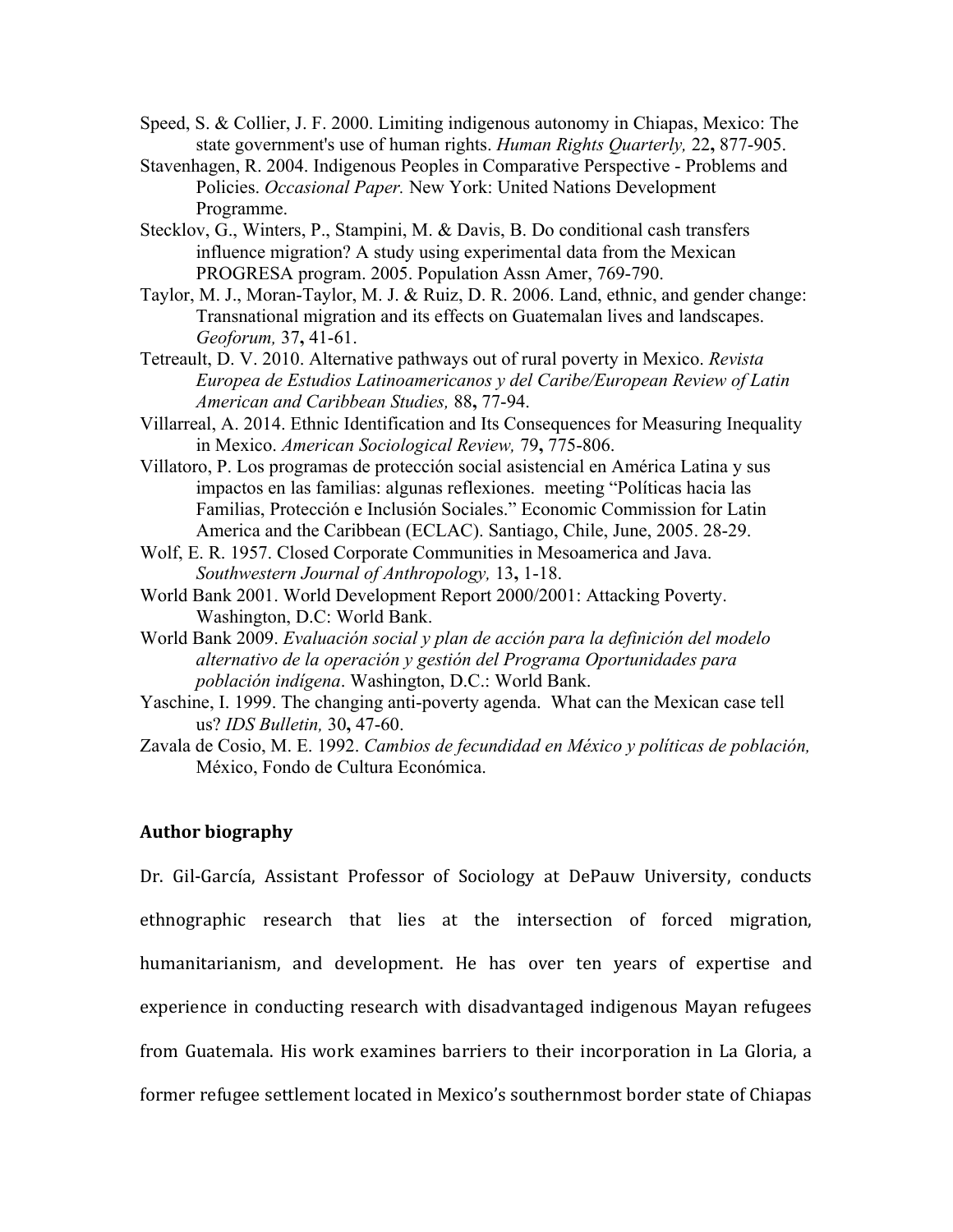- Speed, S. & Collier, J. F. 2000. Limiting indigenous autonomy in Chiapas, Mexico: The state government's use of human rights. *Human Rights Quarterly,* 22**,** 877-905.
- Stavenhagen, R. 2004. Indigenous Peoples in Comparative Perspective Problems and Policies. *Occasional Paper.* New York: United Nations Development Programme.
- Stecklov, G., Winters, P., Stampini, M. & Davis, B. Do conditional cash transfers influence migration? A study using experimental data from the Mexican PROGRESA program. 2005. Population Assn Amer, 769-790.
- Taylor, M. J., Moran-Taylor, M. J. & Ruiz, D. R. 2006. Land, ethnic, and gender change: Transnational migration and its effects on Guatemalan lives and landscapes. *Geoforum,* 37**,** 41-61.
- Tetreault, D. V. 2010. Alternative pathways out of rural poverty in Mexico. *Revista Europea de Estudios Latinoamericanos y del Caribe/European Review of Latin American and Caribbean Studies,* 88**,** 77-94.
- Villarreal, A. 2014. Ethnic Identification and Its Consequences for Measuring Inequality in Mexico. *American Sociological Review,* 79**,** 775-806.
- Villatoro, P. Los programas de protección social asistencial en América Latina y sus impactos en las familias: algunas reflexiones. meeting "Políticas hacia las Familias, Protección e Inclusión Sociales." Economic Commission for Latin America and the Caribbean (ECLAC). Santiago, Chile, June, 2005. 28-29.
- Wolf, E. R. 1957. Closed Corporate Communities in Mesoamerica and Java. *Southwestern Journal of Anthropology,* 13**,** 1-18.
- World Bank 2001. World Development Report 2000/2001: Attacking Poverty. Washington, D.C: World Bank.
- World Bank 2009. *Evaluación social y plan de acción para la definición del modelo alternativo de la operación y gestión del Programa Oportunidades para población indígena*. Washington, D.C.: World Bank.
- Yaschine, I. 1999. The changing anti-poverty agenda. What can the Mexican case tell us? *IDS Bulletin,* 30**,** 47-60.
- Zavala de Cosio, M. E. 1992. *Cambios de fecundidad en México y políticas de población,*  México, Fondo de Cultura Económica.

### **Author biography**

Dr. Gil-García, Assistant Professor of Sociology at DePauw University, conducts ethnographic research that lies at the intersection of forced migration, humanitarianism, and development. He has over ten years of expertise and experience in conducting research with disadvantaged indigenous Mayan refugees from Guatemala. His work examines barriers to their incorporation in La Gloria, a former refugee settlement located in Mexico's southernmost border state of Chiapas